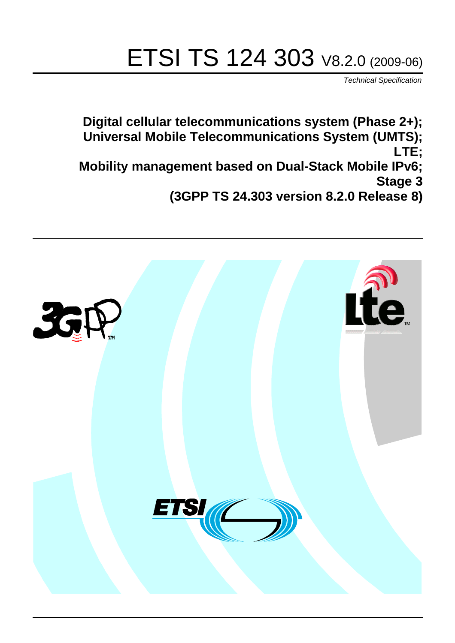# ETSI TS 124 303 V8.2.0 (2009-06)

*Technical Specification*

**Digital cellular telecommunications system (Phase 2+); Universal Mobile Telecommunications System (UMTS); LTE; Mobility management based on Dual-Stack Mobile IPv6; Stage 3 (3GPP TS 24.303 version 8.2.0 Release 8)**

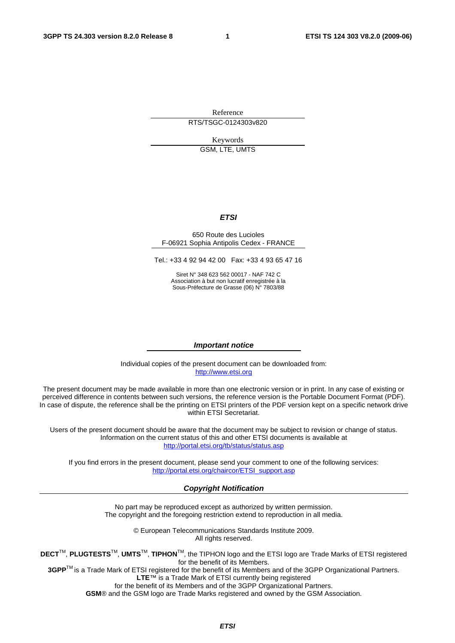Reference RTS/TSGC-0124303v820

Keywords

GSM, LTE, UMTS

#### *ETSI*

#### 650 Route des Lucioles F-06921 Sophia Antipolis Cedex - FRANCE

Tel.: +33 4 92 94 42 00 Fax: +33 4 93 65 47 16

Siret N° 348 623 562 00017 - NAF 742 C Association à but non lucratif enregistrée à la Sous-Préfecture de Grasse (06) N° 7803/88

#### *Important notice*

Individual copies of the present document can be downloaded from: [http://www.etsi.org](http://www.etsi.org/)

The present document may be made available in more than one electronic version or in print. In any case of existing or perceived difference in contents between such versions, the reference version is the Portable Document Format (PDF). In case of dispute, the reference shall be the printing on ETSI printers of the PDF version kept on a specific network drive within ETSI Secretariat.

Users of the present document should be aware that the document may be subject to revision or change of status. Information on the current status of this and other ETSI documents is available at <http://portal.etsi.org/tb/status/status.asp>

If you find errors in the present document, please send your comment to one of the following services: [http://portal.etsi.org/chaircor/ETSI\\_support.asp](http://portal.etsi.org/chaircor/ETSI_support.asp)

#### *Copyright Notification*

No part may be reproduced except as authorized by written permission. The copyright and the foregoing restriction extend to reproduction in all media.

> © European Telecommunications Standards Institute 2009. All rights reserved.

**DECT**TM, **PLUGTESTS**TM, **UMTS**TM, **TIPHON**TM, the TIPHON logo and the ETSI logo are Trade Marks of ETSI registered for the benefit of its Members.

**3GPP**TM is a Trade Mark of ETSI registered for the benefit of its Members and of the 3GPP Organizational Partners. **LTE**™ is a Trade Mark of ETSI currently being registered

for the benefit of its Members and of the 3GPP Organizational Partners.

**GSM**® and the GSM logo are Trade Marks registered and owned by the GSM Association.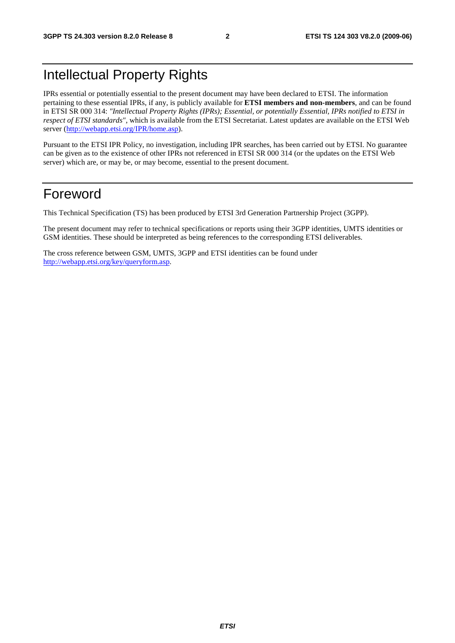### Intellectual Property Rights

IPRs essential or potentially essential to the present document may have been declared to ETSI. The information pertaining to these essential IPRs, if any, is publicly available for **ETSI members and non-members**, and can be found in ETSI SR 000 314: *"Intellectual Property Rights (IPRs); Essential, or potentially Essential, IPRs notified to ETSI in respect of ETSI standards"*, which is available from the ETSI Secretariat. Latest updates are available on the ETSI Web server ([http://webapp.etsi.org/IPR/home.asp\)](http://webapp.etsi.org/IPR/home.asp).

Pursuant to the ETSI IPR Policy, no investigation, including IPR searches, has been carried out by ETSI. No guarantee can be given as to the existence of other IPRs not referenced in ETSI SR 000 314 (or the updates on the ETSI Web server) which are, or may be, or may become, essential to the present document.

### Foreword

This Technical Specification (TS) has been produced by ETSI 3rd Generation Partnership Project (3GPP).

The present document may refer to technical specifications or reports using their 3GPP identities, UMTS identities or GSM identities. These should be interpreted as being references to the corresponding ETSI deliverables.

The cross reference between GSM, UMTS, 3GPP and ETSI identities can be found under [http://webapp.etsi.org/key/queryform.asp.](http://webapp.etsi.org/key/queryform.asp)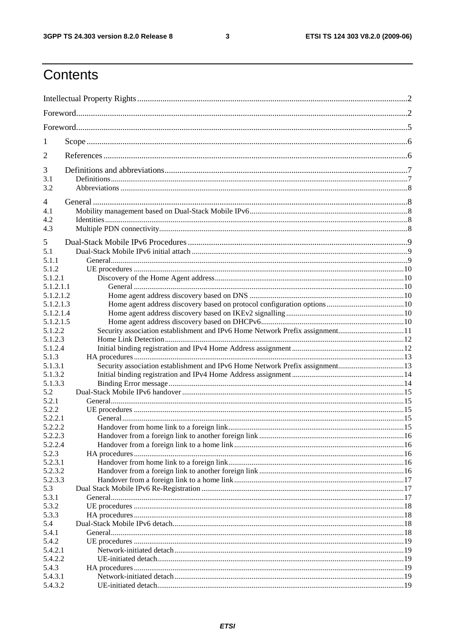$\mathbf{3}$ 

## Contents

| 1                      |                                                                              |  |  |
|------------------------|------------------------------------------------------------------------------|--|--|
| 2                      |                                                                              |  |  |
| 3                      |                                                                              |  |  |
| 3.1                    |                                                                              |  |  |
| 3.2                    |                                                                              |  |  |
| 4                      |                                                                              |  |  |
| 4.1                    |                                                                              |  |  |
| 4.2                    |                                                                              |  |  |
| 4.3                    |                                                                              |  |  |
| 5                      |                                                                              |  |  |
| 5.1                    |                                                                              |  |  |
| 5.1.1                  |                                                                              |  |  |
| 5.1.2                  |                                                                              |  |  |
| 5.1.2.1                |                                                                              |  |  |
| 5.1.2.1.1              |                                                                              |  |  |
| 5.1.2.1.2              |                                                                              |  |  |
| 5.1.2.1.3              |                                                                              |  |  |
| 5.1.2.1.4<br>5.1.2.1.5 |                                                                              |  |  |
| 5.1.2.2                | Security association establishment and IPv6 Home Network Prefix assignment11 |  |  |
| 5.1.2.3                |                                                                              |  |  |
| 5.1.2.4                |                                                                              |  |  |
| 5.1.3                  |                                                                              |  |  |
| 5.1.3.1                | Security association establishment and IPv6 Home Network Prefix assignment13 |  |  |
| 5.1.3.2                |                                                                              |  |  |
| 5.1.3.3                |                                                                              |  |  |
| 5.2                    |                                                                              |  |  |
| 5.2.1                  |                                                                              |  |  |
| 5.2.2                  |                                                                              |  |  |
| 5.2.2.1<br>5.2.2.2     |                                                                              |  |  |
| 5.2.2.3                |                                                                              |  |  |
| 5.2.2.4                |                                                                              |  |  |
| 5.2.3                  |                                                                              |  |  |
| 5.2.3.1                |                                                                              |  |  |
| 5.2.3.2                |                                                                              |  |  |
| 5.2.3.3                |                                                                              |  |  |
| 5.3                    |                                                                              |  |  |
| 5.3.1                  |                                                                              |  |  |
| 5.3.2                  |                                                                              |  |  |
| 5.3.3                  |                                                                              |  |  |
| 5.4                    |                                                                              |  |  |
| 5.4.1<br>5.4.2         |                                                                              |  |  |
| 5.4.2.1                |                                                                              |  |  |
| 5.4.2.2                |                                                                              |  |  |
| 5.4.3                  |                                                                              |  |  |
| 5.4.3.1                |                                                                              |  |  |
| 5.4.3.2                |                                                                              |  |  |
|                        |                                                                              |  |  |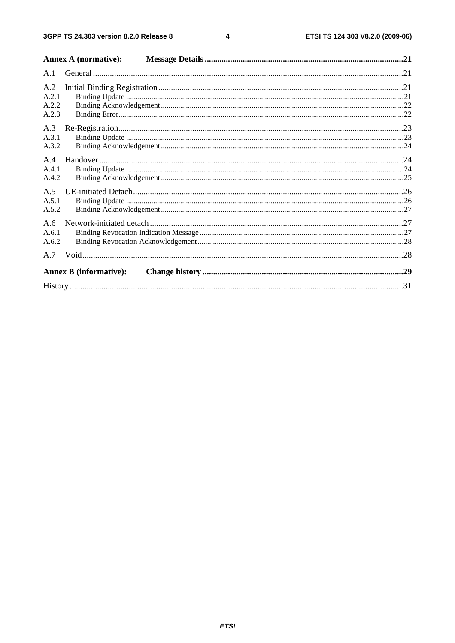$\overline{\mathbf{4}}$ 

|                | <b>Annex A (normative):</b>   |  |
|----------------|-------------------------------|--|
| A.1            |                               |  |
| A.2<br>A.2.1   |                               |  |
| A.2.2<br>A.2.3 |                               |  |
| A.3            |                               |  |
| A.3.1<br>A.3.2 |                               |  |
| A.4<br>A.4.1   |                               |  |
| A.4.2          |                               |  |
| A.5<br>A.5.1   |                               |  |
| A.5.2<br>A.6   |                               |  |
| A.6.1<br>A.6.2 |                               |  |
|                |                               |  |
|                | <b>Annex B</b> (informative): |  |
|                |                               |  |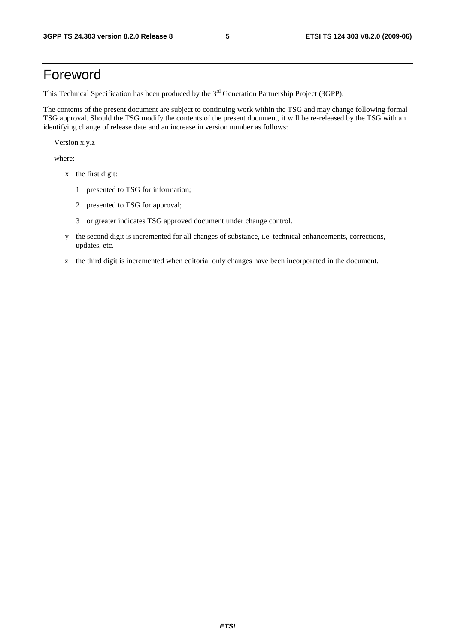### Foreword

This Technical Specification has been produced by the 3<sup>rd</sup> Generation Partnership Project (3GPP).

The contents of the present document are subject to continuing work within the TSG and may change following formal TSG approval. Should the TSG modify the contents of the present document, it will be re-released by the TSG with an identifying change of release date and an increase in version number as follows:

Version x.y.z

where:

- x the first digit:
	- 1 presented to TSG for information;
	- 2 presented to TSG for approval;
	- 3 or greater indicates TSG approved document under change control.
- y the second digit is incremented for all changes of substance, i.e. technical enhancements, corrections, updates, etc.
- z the third digit is incremented when editorial only changes have been incorporated in the document.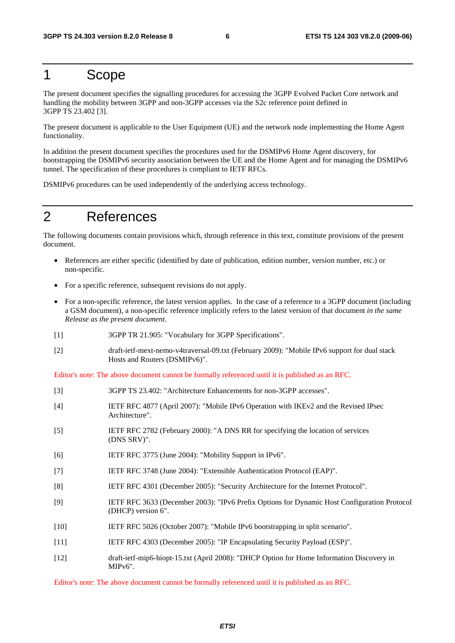### 1 Scope

The present document specifies the signalling procedures for accessing the 3GPP Evolved Packet Core network and handling the mobility between 3GPP and non-3GPP accesses via the S2c reference point defined in 3GPP TS 23.402 [3].

The present document is applicable to the User Equipment (UE) and the network node implementing the Home Agent functionality.

In addition the present document specifies the procedures used for the DSMIPv6 Home Agent discovery, for bootstrapping the DSMIPv6 security association between the UE and the Home Agent and for managing the DSMIPv6 tunnel. The specification of these procedures is compliant to IETF RFCs.

DSMIPv6 procedures can be used independently of the underlying access technology.

### 2 References

The following documents contain provisions which, through reference in this text, constitute provisions of the present document.

- References are either specific (identified by date of publication, edition number, version number, etc.) or non-specific.
- For a specific reference, subsequent revisions do not apply.
- For a non-specific reference, the latest version applies. In the case of a reference to a 3GPP document (including a GSM document), a non-specific reference implicitly refers to the latest version of that document *in the same Release as the present document*.
- [1] 3GPP TR 21.905: "Vocabulary for 3GPP Specifications".
- [2] draft-ietf-mext-nemo-v4traversal-09.txt (February 2009): "Mobile IPv6 support for dual stack Hosts and Routers (DSMIPv6)".

Editor's note: The above document cannot be formally referenced until it is published as an RFC.

| $[3]$             | 3GPP TS 23.402: "Architecture Enhancements for non-3GPP accesses".                                                |
|-------------------|-------------------------------------------------------------------------------------------------------------------|
| [4]               | IETF RFC 4877 (April 2007): "Mobile IPv6 Operation with IKEv2 and the Revised IPsec<br>Architecture".             |
| $\lceil 5 \rceil$ | IETF RFC 2782 (February 2000): "A DNS RR for specifying the location of services<br>(DNS SRV)".                   |
| [6]               | IETF RFC 3775 (June 2004): "Mobility Support in IPv6".                                                            |
| $[7]$             | IETF RFC 3748 (June 2004): "Extensible Authentication Protocol (EAP)".                                            |
| [8]               | IETF RFC 4301 (December 2005): "Security Architecture for the Internet Protocol".                                 |
| $[9]$             | IETF RFC 3633 (December 2003): "IPv6 Prefix Options for Dynamic Host Configuration Protocol<br>(DHCP) version 6". |
| $[10]$            | IETF RFC 5026 (October 2007): "Mobile IPv6 bootstrapping in split scenario".                                      |
| $[11]$            | IETF RFC 4303 (December 2005): "IP Encapsulating Security Payload (ESP)".                                         |
| $[12]$            | draft-ietf-mip6-hiopt-15.txt (April 2008): "DHCP Option for Home Information Discovery in<br>MIPv6".              |

Editor's note: The above document cannot be formally referenced until it is published as an RFC.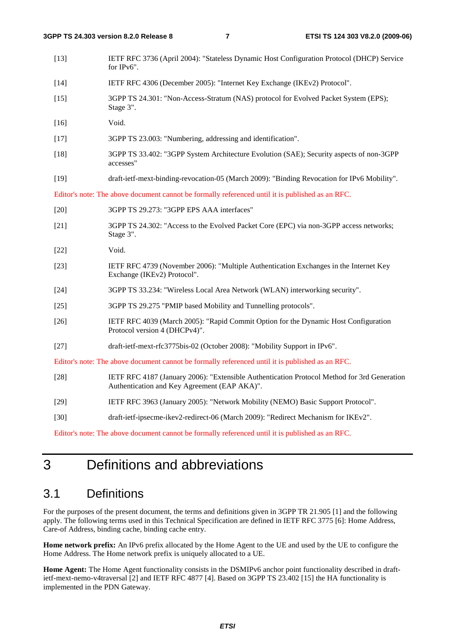| $[13]$ | IETF RFC 3736 (April 2004): "Stateless Dynamic Host Configuration Protocol (DHCP) Service<br>for IPv6".                                     |
|--------|---------------------------------------------------------------------------------------------------------------------------------------------|
| $[14]$ | IETF RFC 4306 (December 2005): "Internet Key Exchange (IKEv2) Protocol".                                                                    |
| $[15]$ | 3GPP TS 24.301: "Non-Access-Stratum (NAS) protocol for Evolved Packet System (EPS);<br>Stage 3".                                            |
| $[16]$ | Void.                                                                                                                                       |
| $[17]$ | 3GPP TS 23.003: "Numbering, addressing and identification".                                                                                 |
| $[18]$ | 3GPP TS 33.402: "3GPP System Architecture Evolution (SAE); Security aspects of non-3GPP<br>accesses"                                        |
| $[19]$ | draft-ietf-mext-binding-revocation-05 (March 2009): "Binding Revocation for IPv6 Mobility".                                                 |
|        | Editor's note: The above document cannot be formally referenced until it is published as an RFC.                                            |
| $[20]$ | 3GPP TS 29.273: "3GPP EPS AAA interfaces"                                                                                                   |
| $[21]$ | 3GPP TS 24.302: "Access to the Evolved Packet Core (EPC) via non-3GPP access networks;<br>Stage 3".                                         |
| [22]   | Void.                                                                                                                                       |
| $[23]$ | IETF RFC 4739 (November 2006): "Multiple Authentication Exchanges in the Internet Key<br>Exchange (IKEv2) Protocol".                        |
| $[24]$ | 3GPP TS 33.234: "Wireless Local Area Network (WLAN) interworking security".                                                                 |
| $[25]$ | 3GPP TS 29.275 "PMIP based Mobility and Tunnelling protocols".                                                                              |
| $[26]$ | IETF RFC 4039 (March 2005): "Rapid Commit Option for the Dynamic Host Configuration<br>Protocol version 4 (DHCPv4)".                        |
| $[27]$ | draft-ietf-mext-rfc3775bis-02 (October 2008): "Mobility Support in IPv6".                                                                   |
|        | Editor's note: The above document cannot be formally referenced until it is published as an RFC.                                            |
| $[28]$ | IETF RFC 4187 (January 2006): "Extensible Authentication Protocol Method for 3rd Generation<br>Authentication and Key Agreement (EAP AKA)". |
| $[29]$ | IETF RFC 3963 (January 2005): "Network Mobility (NEMO) Basic Support Protocol".                                                             |
| $[30]$ | draft-ietf-ipsecme-ikev2-redirect-06 (March 2009): "Redirect Mechanism for IKEv2".                                                          |

Editor's note: The above document cannot be formally referenced until it is published as an RFC.

### 3 Definitions and abbreviations

### 3.1 Definitions

For the purposes of the present document, the terms and definitions given in 3GPP TR 21.905 [1] and the following apply. The following terms used in this Technical Specification are defined in IETF RFC 3775 [6]: Home Address, Care-of Address, binding cache, binding cache entry.

**Home network prefix:** An IPv6 prefix allocated by the Home Agent to the UE and used by the UE to configure the Home Address. The Home network prefix is uniquely allocated to a UE.

**Home Agent:** The Home Agent functionality consists in the DSMIPv6 anchor point functionality described in draftietf-mext-nemo-v4traversal [2] and IETF RFC 4877 [4]. Based on 3GPP TS 23.402 [15] the HA functionality is implemented in the PDN Gateway.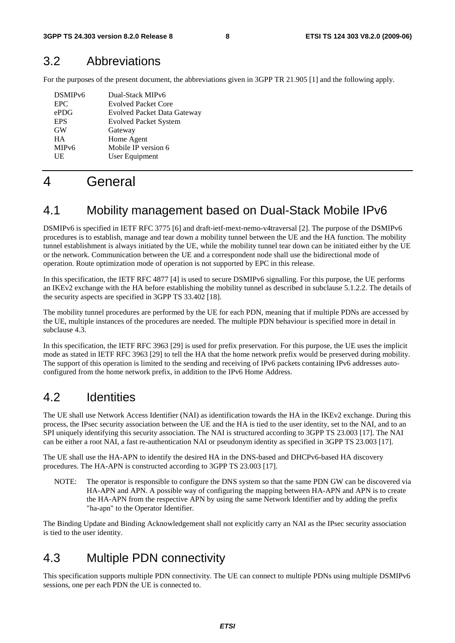### 3.2 Abbreviations

For the purposes of the present document, the abbreviations given in 3GPP TR 21.905 [1] and the following apply.

| DSMIP <sub>v6</sub> | Dual-Stack MIPv6                   |
|---------------------|------------------------------------|
| <b>EPC</b>          | <b>Evolved Packet Core</b>         |
| ePDG                | <b>Evolved Packet Data Gateway</b> |
| <b>EPS</b>          | <b>Evolved Packet System</b>       |
| <b>GW</b>           | Gateway                            |
| <b>HA</b>           | Home Agent                         |
| MIP <sub>v</sub> 6  | Mobile IP version 6                |
| UE                  | User Equipment                     |
|                     |                                    |

### 4 General

### 4.1 Mobility management based on Dual-Stack Mobile IPv6

DSMIPv6 is specified in IETF RFC 3775 [6] and draft-ietf-mext-nemo-v4traversal [2]. The purpose of the DSMIPv6 procedures is to establish, manage and tear down a mobility tunnel between the UE and the HA function. The mobility tunnel establishment is always initiated by the UE, while the mobility tunnel tear down can be initiated either by the UE or the network. Communication between the UE and a correspondent node shall use the bidirectional mode of operation. Route optimization mode of operation is not supported by EPC in this release.

In this specification, the IETF RFC 4877 [4] is used to secure DSMIPv6 signalling. For this purpose, the UE performs an IKEv2 exchange with the HA before establishing the mobility tunnel as described in subclause 5.1.2.2. The details of the security aspects are specified in 3GPP TS 33.402 [18].

The mobility tunnel procedures are performed by the UE for each PDN, meaning that if multiple PDNs are accessed by the UE, multiple instances of the procedures are needed. The multiple PDN behaviour is specified more in detail in subclause 4.3.

In this specification, the IETF RFC 3963 [29] is used for prefix preservation. For this purpose, the UE uses the implicit mode as stated in IETF RFC 3963 [29] to tell the HA that the home network prefix would be preserved during mobility. The support of this operation is limited to the sending and receiving of IPv6 packets containing IPv6 addresses autoconfigured from the home network prefix, in addition to the IPv6 Home Address.

### 4.2 Identities

The UE shall use Network Access Identifier (NAI) as identification towards the HA in the IKEv2 exchange. During this process, the IPsec security association between the UE and the HA is tied to the user identity, set to the NAI, and to an SPI uniquely identifying this security association. The NAI is structured according to 3GPP TS 23.003 [17]. The NAI can be either a root NAI, a fast re-authentication NAI or pseudonym identity as specified in 3GPP TS 23.003 [17].

The UE shall use the HA-APN to identify the desired HA in the DNS-based and DHCPv6-based HA discovery procedures. The HA-APN is constructed according to 3GPP TS 23.003 [17].

NOTE: The operator is responsible to configure the DNS system so that the same PDN GW can be discovered via HA-APN and APN. A possible way of configuring the mapping between HA-APN and APN is to create the HA-APN from the respective APN by using the same Network Identifier and by adding the prefix "ha-apn" to the Operator Identifier.

The Binding Update and Binding Acknowledgement shall not explicitly carry an NAI as the IPsec security association is tied to the user identity.

### 4.3 Multiple PDN connectivity

This specification supports multiple PDN connectivity. The UE can connect to multiple PDNs using multiple DSMIPv6 sessions, one per each PDN the UE is connected to.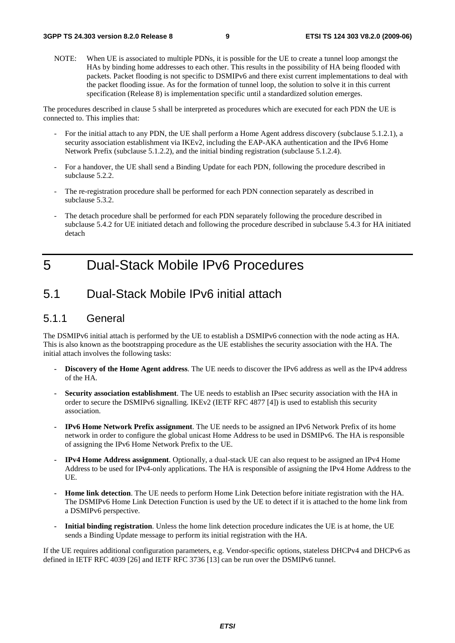NOTE: When UE is associated to multiple PDNs, it is possible for the UE to create a tunnel loop amongst the HAs by binding home addresses to each other. This results in the possibility of HA being flooded with packets. Packet flooding is not specific to DSMIPv6 and there exist current implementations to deal with the packet flooding issue. As for the formation of tunnel loop, the solution to solve it in this current specification (Release 8) is implementation specific until a standardized solution emerges.

The procedures described in clause 5 shall be interpreted as procedures which are executed for each PDN the UE is connected to. This implies that:

- For the initial attach to any PDN, the UE shall perform a Home Agent address discovery (subclause 5.1.2.1), a security association establishment via IKEv2, including the EAP-AKA authentication and the IPv6 Home Network Prefix (subclause 5.1.2.2), and the initial binding registration (subclause 5.1.2.4).
- For a handover, the UE shall send a Binding Update for each PDN, following the procedure described in subclause 5.2.2.
- The re-registration procedure shall be performed for each PDN connection separately as described in subclause 5.3.2.
- The detach procedure shall be performed for each PDN separately following the procedure described in subclause 5.4.2 for UE initiated detach and following the procedure described in subclause 5.4.3 for HA initiated detach

### 5 Dual-Stack Mobile IPv6 Procedures

### 5.1 Dual-Stack Mobile IPv6 initial attach

#### 5.1.1 General

The DSMIPv6 initial attach is performed by the UE to establish a DSMIPv6 connection with the node acting as HA. This is also known as the bootstrapping procedure as the UE establishes the security association with the HA. The initial attach involves the following tasks:

- **Discovery of the Home Agent address**. The UE needs to discover the IPv6 address as well as the IPv4 address of the HA.
- **Security association establishment**. The UE needs to establish an IPsec security association with the HA in order to secure the DSMIPv6 signalling. IKEv2 (IETF RFC 4877 [4]) is used to establish this security association.
- **IPv6 Home Network Prefix assignment**. The UE needs to be assigned an IPv6 Network Prefix of its home network in order to configure the global unicast Home Address to be used in DSMIPv6. The HA is responsible of assigning the IPv6 Home Network Prefix to the UE.
- **IPv4 Home Address assignment**. Optionally, a dual-stack UE can also request to be assigned an IPv4 Home Address to be used for IPv4-only applications. The HA is responsible of assigning the IPv4 Home Address to the UE.
- **Home link detection**. The UE needs to perform Home Link Detection before initiate registration with the HA. The DSMIPv6 Home Link Detection Function is used by the UE to detect if it is attached to the home link from a DSMIPv6 perspective.
- **Initial binding registration**. Unless the home link detection procedure indicates the UE is at home, the UE sends a Binding Update message to perform its initial registration with the HA.

If the UE requires additional configuration parameters, e.g. Vendor-specific options, stateless DHCPv4 and DHCPv6 as defined in IETF RFC 4039 [26] and IETF RFC 3736 [13] can be run over the DSMIPv6 tunnel.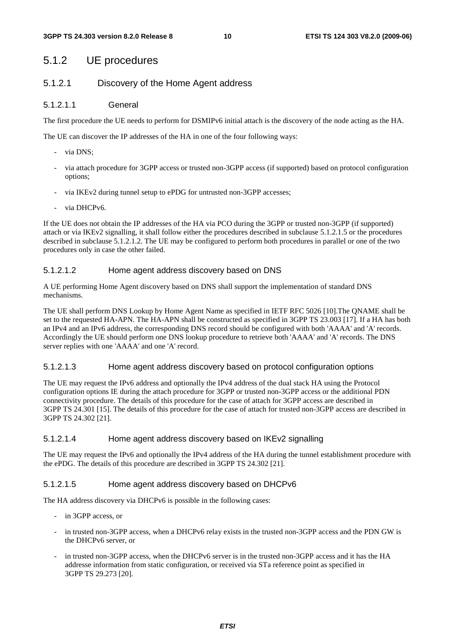#### 5.1.2 UE procedures

#### 5.1.2.1 Discovery of the Home Agent address

#### 5.1.2.1.1 General

The first procedure the UE needs to perform for DSMIPv6 initial attach is the discovery of the node acting as the HA.

The UE can discover the IP addresses of the HA in one of the four following ways:

- via DNS;
- via attach procedure for 3GPP access or trusted non-3GPP access (if supported) based on protocol configuration options;
- via IKEv2 during tunnel setup to ePDG for untrusted non-3GPP accesses;
- via DHCPv6.

If the UE does not obtain the IP addresses of the HA via PCO during the 3GPP or trusted non-3GPP (if supported) attach or via IKEv2 signalling, it shall follow either the procedures described in subclause 5.1.2.1.5 or the procedures described in subclause 5.1.2.1.2. The UE may be configured to perform both procedures in parallel or one of the two procedures only in case the other failed.

#### 5.1.2.1.2 Home agent address discovery based on DNS

A UE performing Home Agent discovery based on DNS shall support the implementation of standard DNS mechanisms.

The UE shall perform DNS Lookup by Home Agent Name as specified in IETF RFC 5026 [10].The QNAME shall be set to the requested HA-APN. The HA-APN shall be constructed as specified in 3GPP TS 23.003 [17]. If a HA has both an IPv4 and an IPv6 address, the corresponding DNS record should be configured with both 'AAAA' and 'A' records. Accordingly the UE should perform one DNS lookup procedure to retrieve both 'AAAA' and 'A' records. The DNS server replies with one 'AAAA' and one 'A' record.

#### 5.1.2.1.3 Home agent address discovery based on protocol configuration options

The UE may request the IPv6 address and optionally the IPv4 address of the dual stack HA using the Protocol configuration options IE during the attach procedure for 3GPP or trusted non-3GPP access or the additional PDN connectivity procedure. The details of this procedure for the case of attach for 3GPP access are described in 3GPP TS 24.301 [15]. The details of this procedure for the case of attach for trusted non-3GPP access are described in 3GPP TS 24.302 [21].

#### 5.1.2.1.4 Home agent address discovery based on IKEv2 signalling

The UE may request the IPv6 and optionally the IPv4 address of the HA during the tunnel establishment procedure with the ePDG. The details of this procedure are described in 3GPP TS 24.302 [21].

#### 5.1.2.1.5 Home agent address discovery based on DHCPv6

The HA address discovery via DHCPv6 is possible in the following cases:

- in 3GPP access, or
- in trusted non-3GPP access, when a DHCPv6 relay exists in the trusted non-3GPP access and the PDN GW is the DHCPv6 server, or
- in trusted non-3GPP access, when the DHCPv6 server is in the trusted non-3GPP access and it has the HA addresse information from static configuration, or received via STa reference point as specified in 3GPP TS 29.273 [20].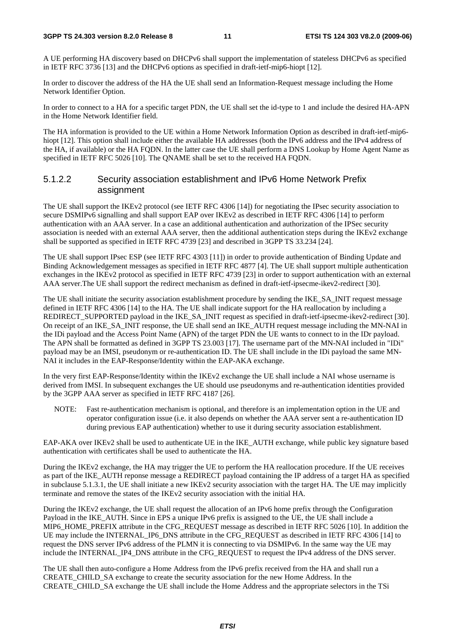#### **3GPP TS 24.303 version 8.2.0 Release 8 11 ETSI TS 124 303 V8.2.0 (2009-06)**

A UE performing HA discovery based on DHCPv6 shall support the implementation of stateless DHCPv6 as specified in IETF RFC 3736 [13] and the DHCPv6 options as specified in draft-ietf-mip6-hiopt [12].

In order to discover the address of the HA the UE shall send an Information-Request message including the Home Network Identifier Option.

In order to connect to a HA for a specific target PDN, the UE shall set the id-type to 1 and include the desired HA-APN in the Home Network Identifier field.

The HA information is provided to the UE within a Home Network Information Option as described in draft-ietf-mip6 hiopt [12]. This option shall include either the available HA addresses (both the IPv6 address and the IPv4 address of the HA, if available) or the HA FQDN. In the latter case the UE shall perform a DNS Lookup by Home Agent Name as specified in IETF RFC 5026 [10]. The QNAME shall be set to the received HA FQDN.

#### 5.1.2.2 Security association establishment and IPv6 Home Network Prefix assignment

The UE shall support the IKEv2 protocol (see IETF RFC 4306 [14]) for negotiating the IPsec security association to secure DSMIPv6 signalling and shall support EAP over IKEv2 as described in IETF RFC 4306 [14] to perform authentication with an AAA server. In a case an additional authentication and authorization of the IPSec security association is needed with an external AAA server, then the additional authentication steps during the IKEv2 exchange shall be supported as specified in IETF RFC 4739 [23] and described in 3GPP TS 33.234 [24].

The UE shall support IPsec ESP (see IETF RFC 4303 [11]) in order to provide authentication of Binding Update and Binding Acknowledgement messages as specified in IETF RFC 4877 [4]. The UE shall support multiple authentication exchanges in the IKEv2 protocol as specified in IETF RFC 4739 [23] in order to support authentication with an external AAA server.The UE shall support the redirect mechanism as defined in draft-ietf-ipsecme-ikev2-redirect [30].

The UE shall initiate the security association establishment procedure by sending the IKE\_SA\_INIT request message defined in IETF RFC 4306 [14] to the HA. The UE shall indicate support for the HA reallocation by including a REDIRECT\_SUPPORTED payload in the IKE\_SA\_INIT request as specified in draft-ietf-ipsecme-ikev2-redirect [30]. On receipt of an IKE\_SA\_INIT response, the UE shall send an IKE\_AUTH request message including the MN-NAI in the IDi payload and the Access Point Name (APN) of the target PDN the UE wants to connect to in the IDr payload. The APN shall be formatted as defined in 3GPP TS 23.003 [17]. The username part of the MN-NAI included in "IDi" payload may be an IMSI, pseudonym or re-authentication ID. The UE shall include in the IDi payload the same MN-NAI it includes in the EAP-Response/Identity within the EAP-AKA exchange.

In the very first EAP-Response/Identity within the IKEv2 exchange the UE shall include a NAI whose username is derived from IMSI. In subsequent exchanges the UE should use pseudonyms and re-authentication identities provided by the 3GPP AAA server as specified in IETF RFC 4187 [26].

NOTE: Fast re-authentication mechanism is optional, and therefore is an implementation option in the UE and operator configuration issue (i.e. it also depends on whether the AAA server sent a re-authentication ID during previous EAP authentication) whether to use it during security association establishment.

EAP-AKA over IKEv2 shall be used to authenticate UE in the IKE\_AUTH exchange, while public key signature based authentication with certificates shall be used to authenticate the HA.

During the IKEv2 exchange, the HA may trigger the UE to perform the HA reallocation procedure. If the UE receives as part of the IKE\_AUTH reponse message a REDIRECT payload containing the IP address of a target HA as specified in subclause 5.1.3.1, the UE shall initiate a new IKEv2 security association with the target HA. The UE may implicitly terminate and remove the states of the IKEv2 security association with the initial HA.

During the IKEv2 exchange, the UE shall request the allocation of an IPv6 home prefix through the Configuration Payload in the IKE\_AUTH. Since in EPS a unique IPv6 prefix is assigned to the UE, the UE shall include a MIP6\_HOME\_PREFIX attribute in the CFG\_REQUEST message as described in IETF RFC 5026 [10]. In addition the UE may include the INTERNAL\_IP6\_DNS attribute in the CFG\_REQUEST as described in IETF RFC 4306 [14] to request the DNS server IPv6 address of the PLMN it is connecting to via DSMIPv6. In the same way the UE may include the INTERNAL\_IP4\_DNS attribute in the CFG\_REQUEST to request the IPv4 address of the DNS server.

The UE shall then auto-configure a Home Address from the IPv6 prefix received from the HA and shall run a CREATE\_CHILD\_SA exchange to create the security association for the new Home Address. In the CREATE\_CHILD\_SA exchange the UE shall include the Home Address and the appropriate selectors in the TSi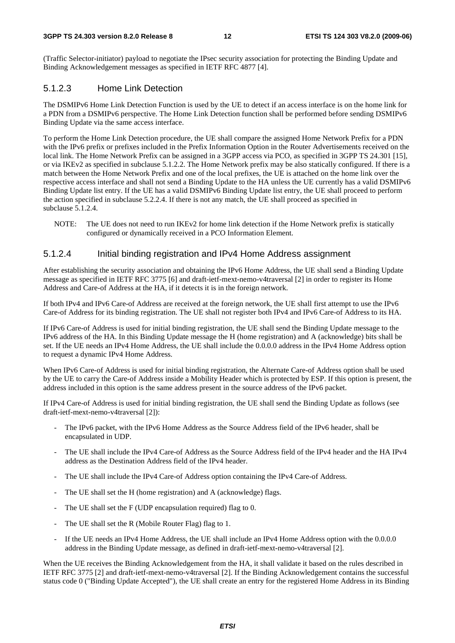(Traffic Selector-initiator) payload to negotiate the IPsec security association for protecting the Binding Update and Binding Acknowledgement messages as specified in IETF RFC 4877 [4].

#### 5.1.2.3 Home Link Detection

The DSMIPv6 Home Link Detection Function is used by the UE to detect if an access interface is on the home link for a PDN from a DSMIPv6 perspective. The Home Link Detection function shall be performed before sending DSMIPv6 Binding Update via the same access interface.

To perform the Home Link Detection procedure, the UE shall compare the assigned Home Network Prefix for a PDN with the IPv6 prefix or prefixes included in the Prefix Information Option in the Router Advertisements received on the local link. The Home Network Prefix can be assigned in a 3GPP access via PCO, as specified in 3GPP TS 24.301 [15], or via IKEv2 as specified in subclause 5.1.2.2. The Home Network prefix may be also statically configured. If there is a match between the Home Network Prefix and one of the local prefixes, the UE is attached on the home link over the respective access interface and shall not send a Binding Update to the HA unless the UE currently has a valid DSMIPv6 Binding Update list entry. If the UE has a valid DSMIPv6 Binding Update list entry, the UE shall proceed to perform the action specified in subclause 5.2.2.4. If there is not any match, the UE shall proceed as specified in subclause 5.1.2.4.

NOTE: The UE does not need to run IKEv2 for home link detection if the Home Network prefix is statically configured or dynamically received in a PCO Information Element.

#### 5.1.2.4 Initial binding registration and IPv4 Home Address assignment

After establishing the security association and obtaining the IPv6 Home Address, the UE shall send a Binding Update message as specified in IETF RFC 3775 [6] and draft-ietf-mext-nemo-v4traversal [2] in order to register its Home Address and Care-of Address at the HA, if it detects it is in the foreign network.

If both IPv4 and IPv6 Care-of Address are received at the foreign network, the UE shall first attempt to use the IPv6 Care-of Address for its binding registration. The UE shall not register both IPv4 and IPv6 Care-of Address to its HA.

If IPv6 Care-of Address is used for initial binding registration, the UE shall send the Binding Update message to the IPv6 address of the HA. In this Binding Update message the H (home registration) and A (acknowledge) bits shall be set. If the UE needs an IPv4 Home Address, the UE shall include the 0.0.0.0 address in the IPv4 Home Address option to request a dynamic IPv4 Home Address.

When IPv6 Care-of Address is used for initial binding registration, the Alternate Care-of Address option shall be used by the UE to carry the Care-of Address inside a Mobility Header which is protected by ESP. If this option is present, the address included in this option is the same address present in the source address of the IPv6 packet.

If IPv4 Care-of Address is used for initial binding registration, the UE shall send the Binding Update as follows (see draft-ietf-mext-nemo-v4traversal [2]):

- The IPv6 packet, with the IPv6 Home Address as the Source Address field of the IPv6 header, shall be encapsulated in UDP.
- The UE shall include the IPv4 Care-of Address as the Source Address field of the IPv4 header and the HA IPv4 address as the Destination Address field of the IPv4 header.
- The UE shall include the IPv4 Care-of Address option containing the IPv4 Care-of Address.
- The UE shall set the H (home registration) and A (acknowledge) flags.
- The UE shall set the F (UDP encapsulation required) flag to 0.
- The UE shall set the R (Mobile Router Flag) flag to 1.
- If the UE needs an IPv4 Home Address, the UE shall include an IPv4 Home Address option with the 0.0.0.0 address in the Binding Update message, as defined in draft-ietf-mext-nemo-v4traversal [2].

When the UE receives the Binding Acknowledgement from the HA, it shall validate it based on the rules described in IETF RFC 3775 [2] and draft-ietf-mext-nemo-v4traversal [2]. If the Binding Acknowledgement contains the successful status code 0 ("Binding Update Accepted"), the UE shall create an entry for the registered Home Address in its Binding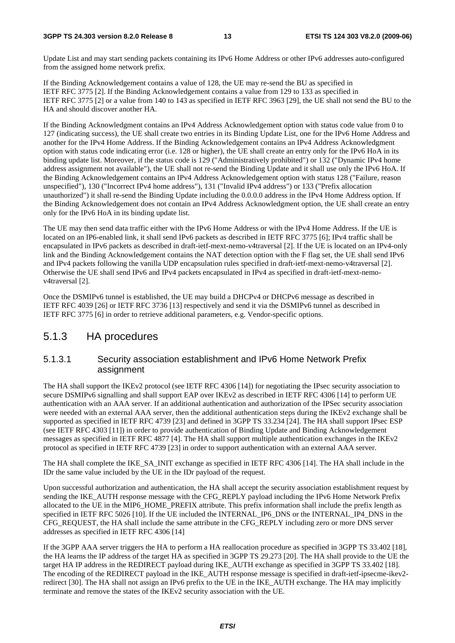Update List and may start sending packets containing its IPv6 Home Address or other IPv6 addresses auto-configured from the assigned home network prefix.

If the Binding Acknowledgement contains a value of 128, the UE may re-send the BU as specified in IETF RFC 3775 [2]. If the Binding Acknowledgement contains a value from 129 to 133 as specified in IETF RFC 3775 [2] or a value from 140 to 143 as specified in IETF RFC 3963 [29], the UE shall not send the BU to the HA and should discover another HA.

If the Binding Acknowledgment contains an IPv4 Address Acknowledgement option with status code value from 0 to 127 (indicating success), the UE shall create two entries in its Binding Update List, one for the IPv6 Home Address and another for the IPv4 Home Address. If the Binding Acknowledgement contains an IPv4 Address Acknowledgment option with status code indicating error (i.e. 128 or higher), the UE shall create an entry only for the IPv6 HoA in its binding update list. Moreover, if the status code is 129 ("Administratively prohibited") or 132 ("Dynamic IPv4 home address assignment not available"), the UE shall not re-send the Binding Update and it shall use only the IPv6 HoA. If the Binding Acknowledgement contains an IPv4 Address Acknowledgement option with status 128 ("Failure, reason unspecified"), 130 ("Incorrect IPv4 home address"), 131 ("Invalid IPv4 address") or 133 ("Prefix allocation unauthorized") it shall re-send the Binding Update including the 0.0.0.0 address in the IPv4 Home Address option. If the Binding Acknowledgement does not contain an IPv4 Address Acknowledgment option, the UE shall create an entry only for the IPv6 HoA in its binding update list.

The UE may then send data traffic either with the IPv6 Home Address or with the IPv4 Home Address. If the UE is located on an IP6-enabled link, it shall send IPv6 packets as described in IETF RFC 3775 [6]; IPv4 traffic shall be encapsulated in IPv6 packets as described in draft-ietf-mext-nemo-v4traversal [2]. If the UE is located on an IPv4-only link and the Binding Acknowledgement contains the NAT detection option with the F flag set, the UE shall send IPv6 and IPv4 packets following the vanilla UDP encapsulation rules specified in draft-ietf-mext-nemo-v4traversal [2]. Otherwise the UE shall send IPv6 and IPv4 packets encapsulated in IPv4 as specified in draft-ietf-mext-nemov4traversal [2].

Once the DSMIPv6 tunnel is established, the UE may build a DHCPv4 or DHCPv6 message as described in IETF RFC 4039 [26] or IETF RFC 3736 [13] respectively and send it via the DSMIPv6 tunnel as described in IETF RFC 3775 [6] in order to retrieve additional parameters, e.g. Vendor-specific options.

#### 5.1.3 HA procedures

#### 5.1.3.1 Security association establishment and IPv6 Home Network Prefix assignment

The HA shall support the IKEv2 protocol (see IETF RFC 4306 [14]) for negotiating the IPsec security association to secure DSMIPv6 signalling and shall support EAP over IKEv2 as described in IETF RFC 4306 [14] to perform UE authentication with an AAA server. If an additional authentication and authorization of the IPSec security association were needed with an external AAA server, then the additional authentication steps during the IKEv2 exchange shall be supported as specified in IETF RFC 4739 [23] and defined in 3GPP TS 33.234 [24]. The HA shall support IPsec ESP (see IETF RFC 4303 [11]) in order to provide authentication of Binding Update and Binding Acknowledgement messages as specified in IETF RFC 4877 [4]. The HA shall support multiple authentication exchanges in the IKEv2 protocol as specified in IETF RFC 4739 [23] in order to support authentication with an external AAA server.

The HA shall complete the IKE\_SA\_INIT exchange as specified in IETF RFC 4306 [14]. The HA shall include in the IDr the same value included by the UE in the IDr payload of the request.

Upon successful authorization and authentication, the HA shall accept the security association establishment request by sending the IKE\_AUTH response message with the CFG\_REPLY payload including the IPv6 Home Network Prefix allocated to the UE in the MIP6\_HOME\_PREFIX attribute. This prefix information shall include the prefix length as specified in IETF RFC 5026 [10]. If the UE included the INTERNAL IP6 DNS or the INTERNAL IP4 DNS in the CFG\_REQUEST, the HA shall include the same attribute in the CFG\_REPLY including zero or more DNS server addresses as specified in IETF RFC 4306 [14]

If the 3GPP AAA server triggers the HA to perform a HA reallocation procedure as specified in 3GPP TS 33.402 [18], the HA learns the IP address of the target HA as specified in 3GPP TS 29.273 [20]. The HA shall provide to the UE the target HA IP address in the REDIRECT payload during IKE\_AUTH exchange as specified in 3GPP TS 33.402 [18]. The encoding of the REDIRECT payload in the IKE\_AUTH response message is specified in draft-ietf-ipsecme-ikev2redirect [30]. The HA shall not assign an IPv6 prefix to the UE in the IKE\_AUTH exchange. The HA may implicitly terminate and remove the states of the IKEv2 security association with the UE.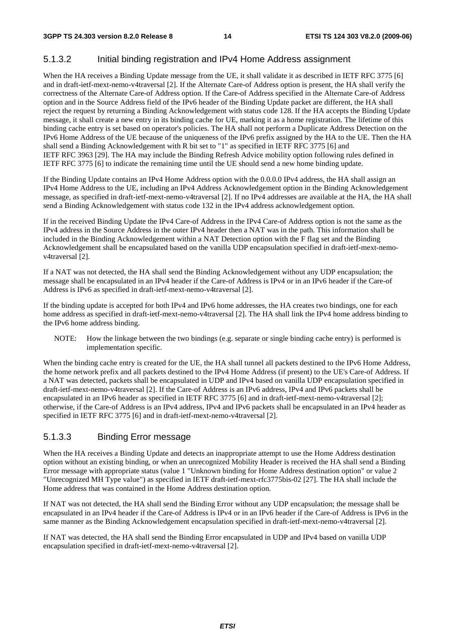#### 5.1.3.2 Initial binding registration and IPv4 Home Address assignment

When the HA receives a Binding Update message from the UE, it shall validate it as described in IETF RFC 3775 [6] and in draft-ietf-mext-nemo-v4traversal [2]. If the Alternate Care-of Address option is present, the HA shall verify the correctness of the Alternate Care-of Address option. If the Care-of Address specified in the Alternate Care-of Address option and in the Source Address field of the IPv6 header of the Binding Update packet are different, the HA shall reject the request by returning a Binding Acknowledgement with status code 128. If the HA accepts the Binding Update message, it shall create a new entry in its binding cache for UE, marking it as a home registration. The lifetime of this binding cache entry is set based on operator's policies. The HA shall not perform a Duplicate Address Detection on the IPv6 Home Address of the UE because of the uniqueness of the IPv6 prefix assigned by the HA to the UE. Then the HA shall send a Binding Acknowledgement with R bit set to "1" as specified in IETF RFC 3775 [6] and IETF RFC 3963 [29]. The HA may include the Binding Refresh Advice mobility option following rules defined in IETF RFC 3775 [6] to indicate the remaining time until the UE should send a new home binding update.

If the Binding Update contains an IPv4 Home Address option with the 0.0.0.0 IPv4 address, the HA shall assign an IPv4 Home Address to the UE, including an IPv4 Address Acknowledgement option in the Binding Acknowledgement message, as specified in draft-ietf-mext-nemo-v4traversal [2]. If no IPv4 addresses are available at the HA, the HA shall send a Binding Acknowledgement with status code 132 in the IPv4 address acknowledgement option.

If in the received Binding Update the IPv4 Care-of Address in the IPv4 Care-of Address option is not the same as the IPv4 address in the Source Address in the outer IPv4 header then a NAT was in the path. This information shall be included in the Binding Acknowledgement within a NAT Detection option with the F flag set and the Binding Acknowledgement shall be encapsulated based on the vanilla UDP encapsulation specified in draft-ietf-mext-nemov4traversal [2].

If a NAT was not detected, the HA shall send the Binding Acknowledgement without any UDP encapsulation; the message shall be encapsulated in an IPv4 header if the Care-of Address is IPv4 or in an IPv6 header if the Care-of Address is IPv6 as specified in draft-ietf-mext-nemo-v4traversal [2].

If the binding update is accepted for both IPv4 and IPv6 home addresses, the HA creates two bindings, one for each home address as specified in draft-ietf-mext-nemo-v4traversal [2]. The HA shall link the IPv4 home address binding to the IPv6 home address binding.

NOTE: How the linkage between the two bindings (e.g. separate or single binding cache entry) is performed is implementation specific.

When the binding cache entry is created for the UE, the HA shall tunnel all packets destined to the IPv6 Home Address, the home network prefix and all packets destined to the IPv4 Home Address (if present) to the UE's Care-of Address. If a NAT was detected, packets shall be encapsulated in UDP and IPv4 based on vanilla UDP encapsulation specified in draft-ietf-mext-nemo-v4traversal [2]. If the Care-of Address is an IPv6 address, IPv4 and IPv6 packets shall be encapsulated in an IPv6 header as specified in IETF RFC 3775 [6] and in draft-ietf-mext-nemo-v4traversal [2]; otherwise, if the Care-of Address is an IPv4 address, IPv4 and IPv6 packets shall be encapsulated in an IPv4 header as specified in IETF RFC 3775 [6] and in draft-ietf-mext-nemo-v4traversal [2].

#### 5.1.3.3 Binding Error message

When the HA receives a Binding Update and detects an inappropriate attempt to use the Home Address destination option without an existing binding, or when an unrecognized Mobility Header is received the HA shall send a Binding Error message with appropriate status (value 1 "Unknown binding for Home Address destination option" or value 2 "Unrecognized MH Type value") as specified in IETF draft-ietf-mext-rfc3775bis-02 [27]. The HA shall include the Home address that was contained in the Home Address destination option.

If NAT was not detected, the HA shall send the Binding Error without any UDP encapsulation; the message shall be encapsulated in an IPv4 header if the Care-of Address is IPv4 or in an IPv6 header if the Care-of Address is IPv6 in the same manner as the Binding Acknowledgement encapsulation specified in draft-ietf-mext-nemo-v4traversal [2].

If NAT was detected, the HA shall send the Binding Error encapsulated in UDP and IPv4 based on vanilla UDP encapsulation specified in draft-ietf-mext-nemo-v4traversal [2].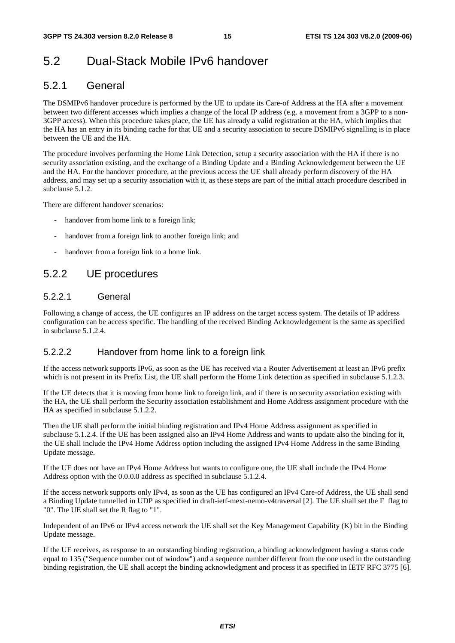### 5.2 Dual-Stack Mobile IPv6 handover

#### 5.2.1 General

The DSMIPv6 handover procedure is performed by the UE to update its Care-of Address at the HA after a movement between two different accesses which implies a change of the local IP address (e.g. a movement from a 3GPP to a non-3GPP access). When this procedure takes place, the UE has already a valid registration at the HA, which implies that the HA has an entry in its binding cache for that UE and a security association to secure DSMIPv6 signalling is in place between the UE and the HA.

The procedure involves performing the Home Link Detection, setup a security association with the HA if there is no security association existing, and the exchange of a Binding Update and a Binding Acknowledgement between the UE and the HA. For the handover procedure, at the previous access the UE shall already perform discovery of the HA address, and may set up a security association with it, as these steps are part of the initial attach procedure described in subclause 5.1.2.

There are different handover scenarios:

- handover from home link to a foreign link;
- handover from a foreign link to another foreign link; and
- handover from a foreign link to a home link.

#### 5.2.2 UE procedures

#### 5.2.2.1 General

Following a change of access, the UE configures an IP address on the target access system. The details of IP address configuration can be access specific. The handling of the received Binding Acknowledgement is the same as specified in subclause 5.1.2.4.

#### 5.2.2.2 Handover from home link to a foreign link

If the access network supports IPv6, as soon as the UE has received via a Router Advertisement at least an IPv6 prefix which is not present in its Prefix List, the UE shall perform the Home Link detection as specified in subclause 5.1.2.3.

If the UE detects that it is moving from home link to foreign link, and if there is no security association existing with the HA, the UE shall perform the Security association establishment and Home Address assignment procedure with the HA as specified in subclause 5.1.2.2.

Then the UE shall perform the initial binding registration and IPv4 Home Address assignment as specified in subclause 5.1.2.4. If the UE has been assigned also an IPv4 Home Address and wants to update also the binding for it, the UE shall include the IPv4 Home Address option including the assigned IPv4 Home Address in the same Binding Update message.

If the UE does not have an IPv4 Home Address but wants to configure one, the UE shall include the IPv4 Home Address option with the 0.0.0.0 address as specified in subclause 5.1.2.4.

If the access network supports only IPv4, as soon as the UE has configured an IPv4 Care-of Address, the UE shall send a Binding Update tunnelled in UDP as specified in draft-ietf-mext-nemo-v4traversal [2]. The UE shall set the F flag to "0". The UE shall set the R flag to "1".

Independent of an IPv6 or IPv4 access network the UE shall set the Key Management Capability (K) bit in the Binding Update message.

If the UE receives, as response to an outstanding binding registration, a binding acknowledgment having a status code equal to 135 ("Sequence number out of window") and a sequence number different from the one used in the outstanding binding registration, the UE shall accept the binding acknowledgment and process it as specified in IETF RFC 3775 [6].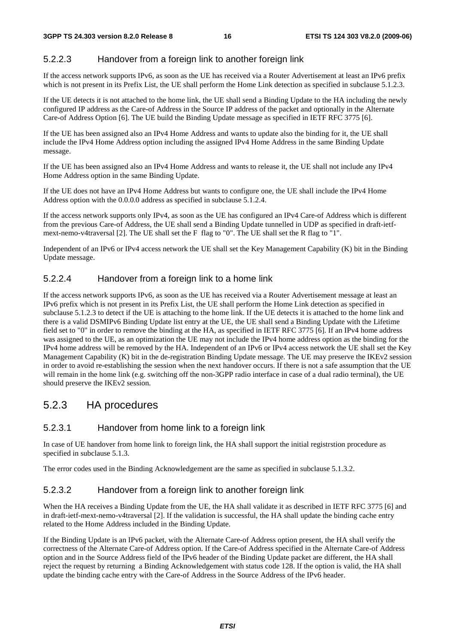#### 5.2.2.3 Handover from a foreign link to another foreign link

If the access network supports IPv6, as soon as the UE has received via a Router Advertisement at least an IPv6 prefix which is not present in its Prefix List, the UE shall perform the Home Link detection as specified in subclause 5.1.2.3.

If the UE detects it is not attached to the home link, the UE shall send a Binding Update to the HA including the newly configured IP address as the Care-of Address in the Source IP address of the packet and optionally in the Alternate Care-of Address Option [6]. The UE build the Binding Update message as specified in IETF RFC 3775 [6].

If the UE has been assigned also an IPv4 Home Address and wants to update also the binding for it, the UE shall include the IPv4 Home Address option including the assigned IPv4 Home Address in the same Binding Update message.

If the UE has been assigned also an IPv4 Home Address and wants to release it, the UE shall not include any IPv4 Home Address option in the same Binding Update.

If the UE does not have an IPv4 Home Address but wants to configure one, the UE shall include the IPv4 Home Address option with the 0.0.0.0 address as specified in subclause 5.1.2.4.

If the access network supports only IPv4, as soon as the UE has configured an IPv4 Care-of Address which is different from the previous Care-of Address, the UE shall send a Binding Update tunnelled in UDP as specified in draft-ietfmext-nemo-v4traversal [2]. The UE shall set the F flag to "0". The UE shall set the R flag to "1".

Independent of an IPv6 or IPv4 access network the UE shall set the Key Management Capability (K) bit in the Binding Update message.

#### 5.2.2.4 Handover from a foreign link to a home link

If the access network supports IPv6, as soon as the UE has received via a Router Advertisement message at least an IPv6 prefix which is not present in its Prefix List, the UE shall perform the Home Link detection as specified in subclause 5.1.2.3 to detect if the UE is attaching to the home link. If the UE detects it is attached to the home link and there is a valid DSMIPv6 Binding Update list entry at the UE, the UE shall send a Binding Update with the Lifetime field set to "0" in order to remove the binding at the HA, as specified in IETF RFC 3775 [6]. If an IPv4 home address was assigned to the UE, as an optimization the UE may not include the IPv4 home address option as the binding for the IPv4 home address will be removed by the HA. Independent of an IPv6 or IPv4 access network the UE shall set the Key Management Capability (K) bit in the de-registration Binding Update message. The UE may preserve the IKEv2 session in order to avoid re-establishing the session when the next handover occurs. If there is not a safe assumption that the UE will remain in the home link (e.g. switching off the non-3GPP radio interface in case of a dual radio terminal), the UE should preserve the IKEv2 session.

#### 5.2.3 HA procedures

#### 5.2.3.1 Handover from home link to a foreign link

In case of UE handover from home link to foreign link, the HA shall support the initial registrstion procedure as specified in subclause 5.1.3.

The error codes used in the Binding Acknowledgement are the same as specified in subclause 5.1.3.2.

#### 5.2.3.2 Handover from a foreign link to another foreign link

When the HA receives a Binding Update from the UE, the HA shall validate it as described in IETF RFC 3775 [6] and in draft-ietf-mext-nemo-v4traversal [2]. If the validation is successful, the HA shall update the binding cache entry related to the Home Address included in the Binding Update.

If the Binding Update is an IPv6 packet, with the Alternate Care-of Address option present, the HA shall verify the correctness of the Alternate Care-of Address option. If the Care-of Address specified in the Alternate Care-of Address option and in the Source Address field of the IPv6 header of the Binding Update packet are different, the HA shall reject the request by returning a Binding Acknowledgement with status code 128. If the option is valid, the HA shall update the binding cache entry with the Care-of Address in the Source Address of the IPv6 header.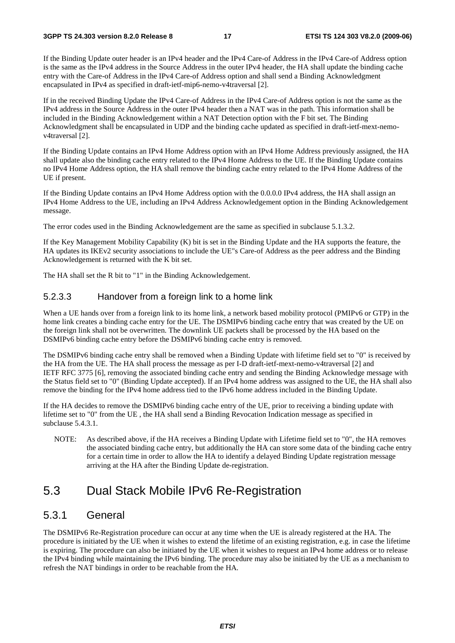If the Binding Update outer header is an IPv4 header and the IPv4 Care-of Address in the IPv4 Care-of Address option is the same as the IPv4 address in the Source Address in the outer IPv4 header, the HA shall update the binding cache entry with the Care-of Address in the IPv4 Care-of Address option and shall send a Binding Acknowledgment encapsulated in IPv4 as specified in draft-ietf-mip6-nemo-v4traversal [2].

If in the received Binding Update the IPv4 Care-of Address in the IPv4 Care-of Address option is not the same as the IPv4 address in the Source Address in the outer IPv4 header then a NAT was in the path. This information shall be included in the Binding Acknowledgement within a NAT Detection option with the F bit set. The Binding Acknowledgment shall be encapsulated in UDP and the binding cache updated as specified in draft-ietf-mext-nemov4traversal [2].

If the Binding Update contains an IPv4 Home Address option with an IPv4 Home Address previously assigned, the HA shall update also the binding cache entry related to the IPv4 Home Address to the UE. If the Binding Update contains no IPv4 Home Address option, the HA shall remove the binding cache entry related to the IPv4 Home Address of the UE if present.

If the Binding Update contains an IPv4 Home Address option with the 0.0.0.0 IPv4 address, the HA shall assign an IPv4 Home Address to the UE, including an IPv4 Address Acknowledgement option in the Binding Acknowledgement message.

The error codes used in the Binding Acknowledgement are the same as specified in subclause 5.1.3.2.

If the Key Management Mobility Capability (K) bit is set in the Binding Update and the HA supports the feature, the HA updates its IKEv2 security associations to include the UE"s Care-of Address as the peer address and the Binding Acknowledgement is returned with the K bit set.

The HA shall set the R bit to "1" in the Binding Acknowledgement.

#### 5.2.3.3 Handover from a foreign link to a home link

When a UE hands over from a foreign link to its home link, a network based mobility protocol (PMIPv6 or GTP) in the home link creates a binding cache entry for the UE. The DSMIPv6 binding cache entry that was created by the UE on the foreign link shall not be overwritten. The downlink UE packets shall be processed by the HA based on the DSMIPv6 binding cache entry before the DSMIPv6 binding cache entry is removed.

The DSMIPv6 binding cache entry shall be removed when a Binding Update with lifetime field set to "0" is received by the HA from the UE. The HA shall process the message as per I-D draft-ietf-mext-nemo-v4traversal [2] and IETF RFC 3775 [6], removing the associated binding cache entry and sending the Binding Acknowledge message with the Status field set to "0" (Binding Update accepted). If an IPv4 home address was assigned to the UE, the HA shall also remove the binding for the IPv4 home address tied to the IPv6 home address included in the Binding Update.

If the HA decides to remove the DSMIPv6 binding cache entry of the UE, prior to receiving a binding update with lifetime set to "0" from the UE , the HA shall send a Binding Revocation Indication message as specified in subclause 5.4.3.1.

NOTE: As described above, if the HA receives a Binding Update with Lifetime field set to "0", the HA removes the associated binding cache entry, but additionally the HA can store some data of the binding cache entry for a certain time in order to allow the HA to identify a delayed Binding Update registration message arriving at the HA after the Binding Update de-registration.

### 5.3 Dual Stack Mobile IPv6 Re-Registration

#### 5.3.1 General

The DSMIPv6 Re-Registration procedure can occur at any time when the UE is already registered at the HA. The procedure is initiated by the UE when it wishes to extend the lifetime of an existing registration, e.g. in case the lifetime is expiring. The procedure can also be initiated by the UE when it wishes to request an IPv4 home address or to release the IPv4 binding while maintaining the IPv6 binding. The procedure may also be initiated by the UE as a mechanism to refresh the NAT bindings in order to be reachable from the HA.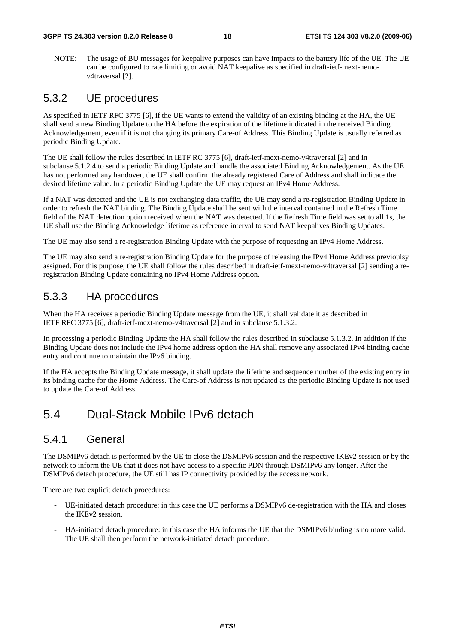#### **3GPP TS 24.303 version 8.2.0 Release 8 18 ETSI TS 124 303 V8.2.0 (2009-06)**

NOTE: The usage of BU messages for keepalive purposes can have impacts to the battery life of the UE. The UE can be configured to rate limiting or avoid NAT keepalive as specified in draft-ietf-mext-nemov4traversal [2].

#### 5.3.2 UE procedures

As specified in IETF RFC 3775 [6], if the UE wants to extend the validity of an existing binding at the HA, the UE shall send a new Binding Update to the HA before the expiration of the lifetime indicated in the received Binding Acknowledgement, even if it is not changing its primary Care-of Address. This Binding Update is usually referred as periodic Binding Update.

The UE shall follow the rules described in IETF RC 3775 [6], draft-ietf-mext-nemo-v4traversal [2] and in subclause 5.1.2.4 to send a periodic Binding Update and handle the associated Binding Acknowledgement. As the UE has not performed any handover, the UE shall confirm the already registered Care of Address and shall indicate the desired lifetime value. In a periodic Binding Update the UE may request an IPv4 Home Address.

If a NAT was detected and the UE is not exchanging data traffic, the UE may send a re-registration Binding Update in order to refresh the NAT binding. The Binding Update shall be sent with the interval contained in the Refresh Time field of the NAT detection option received when the NAT was detected. If the Refresh Time field was set to all 1s, the UE shall use the Binding Acknowledge lifetime as reference interval to send NAT keepalives Binding Updates.

The UE may also send a re-registration Binding Update with the purpose of requesting an IPv4 Home Address.

The UE may also send a re-registration Binding Update for the purpose of releasing the IPv4 Home Address previoulsy assigned. For this purpose, the UE shall follow the rules described in draft-ietf-mext-nemo-v4traversal [2] sending a reregistration Binding Update containing no IPv4 Home Address option.

#### 5.3.3 HA procedures

When the HA receives a periodic Binding Update message from the UE, it shall validate it as described in IETF RFC 3775 [6], draft-ietf-mext-nemo-v4traversal [2] and in subclause 5.1.3.2.

In processing a periodic Binding Update the HA shall follow the rules described in subclause 5.1.3.2. In addition if the Binding Update does not include the IPv4 home address option the HA shall remove any associated IPv4 binding cache entry and continue to maintain the IPv6 binding.

If the HA accepts the Binding Update message, it shall update the lifetime and sequence number of the existing entry in its binding cache for the Home Address. The Care-of Address is not updated as the periodic Binding Update is not used to update the Care-of Address.

### 5.4 Dual-Stack Mobile IPv6 detach

#### 5.4.1 General

The DSMIPv6 detach is performed by the UE to close the DSMIPv6 session and the respective IKEv2 session or by the network to inform the UE that it does not have access to a specific PDN through DSMIPv6 any longer. After the DSMIPv6 detach procedure, the UE still has IP connectivity provided by the access network.

There are two explicit detach procedures:

- UE-initiated detach procedure: in this case the UE performs a DSMIPv6 de-registration with the HA and closes the IKEv2 session.
- HA-initiated detach procedure: in this case the HA informs the UE that the DSMIPv6 binding is no more valid. The UE shall then perform the network-initiated detach procedure.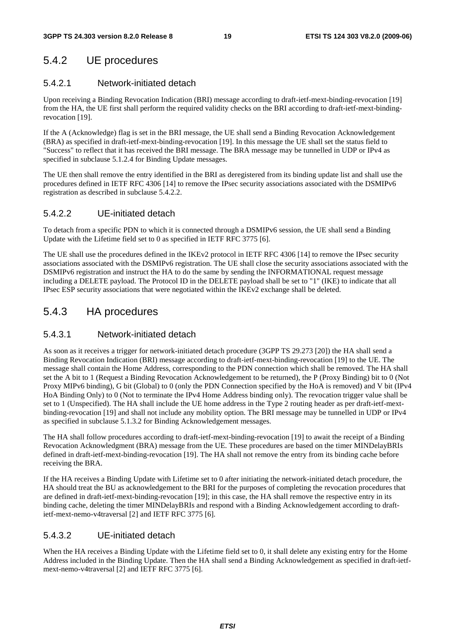### 5.4.2 UE procedures

#### 5.4.2.1 Network-initiated detach

Upon receiving a Binding Revocation Indication (BRI) message according to draft-ietf-mext-binding-revocation [19] from the HA, the UE first shall perform the required validity checks on the BRI according to draft-ietf-mext-bindingrevocation [19].

If the A (Acknowledge) flag is set in the BRI message, the UE shall send a Binding Revocation Acknowledgement (BRA) as specified in draft-ietf-mext-binding-revocation [19]. In this message the UE shall set the status field to "Success" to reflect that it has received the BRI message. The BRA message may be tunnelled in UDP or IPv4 as specified in subclause 5.1.2.4 for Binding Update messages.

The UE then shall remove the entry identified in the BRI as deregistered from its binding update list and shall use the procedures defined in IETF RFC 4306 [14] to remove the IPsec security associations associated with the DSMIPv6 registration as described in subclause 5.4.2.2.

#### 5.4.2.2 UE-initiated detach

To detach from a specific PDN to which it is connected through a DSMIPv6 session, the UE shall send a Binding Update with the Lifetime field set to 0 as specified in IETF RFC 3775 [6].

The UE shall use the procedures defined in the IKEv2 protocol in IETF RFC 4306 [14] to remove the IPsec security associations associated with the DSMIPv6 registration. The UE shall close the security associations associated with the DSMIPv6 registration and instruct the HA to do the same by sending the INFORMATIONAL request message including a DELETE payload. The Protocol ID in the DELETE payload shall be set to "1" (IKE) to indicate that all IPsec ESP security associations that were negotiated within the IKEv2 exchange shall be deleted.

### 5.4.3 HA procedures

#### 5.4.3.1 Network-initiated detach

As soon as it receives a trigger for network-initiated detach procedure (3GPP TS 29.273 [20]) the HA shall send a Binding Revocation Indication (BRI) message according to draft-ietf-mext-binding-revocation [19] to the UE. The message shall contain the Home Address, corresponding to the PDN connection which shall be removed. The HA shall set the A bit to 1 (Request a Binding Revocation Acknowledgement to be returned), the P (Proxy Binding) bit to 0 (Not Proxy MIPv6 binding), G bit (Global) to 0 (only the PDN Connection specified by the HoA is removed) and V bit (IPv4 HoA Binding Only) to 0 (Not to terminate the IPv4 Home Address binding only). The revocation trigger value shall be set to 1 (Unspecified). The HA shall include the UE home address in the Type 2 routing header as per draft-ietf-mextbinding-revocation [19] and shall not include any mobility option. The BRI message may be tunnelled in UDP or IPv4 as specified in subclause 5.1.3.2 for Binding Acknowledgement messages.

The HA shall follow procedures according to draft-ietf-mext-binding-revocation [19] to await the receipt of a Binding Revocation Acknowledgment (BRA) message from the UE. These procedures are based on the timer MINDelayBRIs defined in draft-ietf-mext-binding-revocation [19]. The HA shall not remove the entry from its binding cache before receiving the BRA.

If the HA receives a Binding Update with Lifetime set to 0 after initiating the network-initiated detach procedure, the HA should treat the BU as acknowledgement to the BRI for the purposes of completing the revocation procedures that are defined in draft-ietf-mext-binding-revocation [19]; in this case, the HA shall remove the respective entry in its binding cache, deleting the timer MINDelayBRIs and respond with a Binding Acknowledgement according to draftietf-mext-nemo-v4traversal [2] and IETF RFC 3775 [6].

#### 5.4.3.2 UE-initiated detach

When the HA receives a Binding Update with the Lifetime field set to 0, it shall delete any existing entry for the Home Address included in the Binding Update. Then the HA shall send a Binding Acknowledgement as specified in draft-ietfmext-nemo-v4traversal [2] and IETF RFC 3775 [6].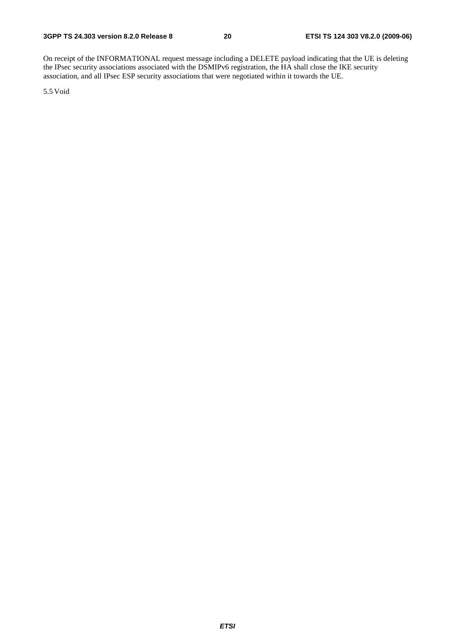On receipt of the INFORMATIONAL request message including a DELETE payload indicating that the UE is deleting the IPsec security associations associated with the DSMIPv6 registration, the HA shall close the IKE security association, and all IPsec ESP security associations that were negotiated within it towards the UE.

5.5 Void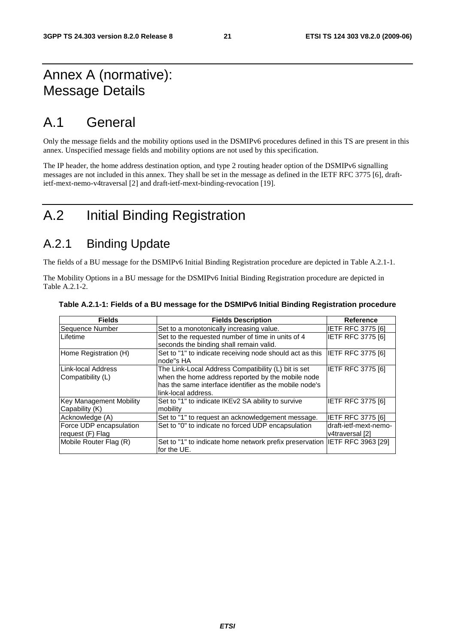### Annex A (normative): Message Details

### A.1 General

Only the message fields and the mobility options used in the DSMIPv6 procedures defined in this TS are present in this annex. Unspecified message fields and mobility options are not used by this specification.

The IP header, the home address destination option, and type 2 routing header option of the DSMIPv6 signalling messages are not included in this annex. They shall be set in the message as defined in the IETF RFC 3775 [6], draftietf-mext-nemo-v4traversal [2] and draft-ietf-mext-binding-revocation [19].

### A.2 Initial Binding Registration

### A.2.1 Binding Update

The fields of a BU message for the DSMIPv6 Initial Binding Registration procedure are depicted in Table A.2.1-1.

The Mobility Options in a BU message for the DSMIPv6 Initial Binding Registration procedure are depicted in Table A.2.1-2.

| <b>Fields</b>                               | <b>Fields Description</b>                                                                                                                                                                 | Reference                                |
|---------------------------------------------|-------------------------------------------------------------------------------------------------------------------------------------------------------------------------------------------|------------------------------------------|
| Sequence Number                             | Set to a monotonically increasing value.                                                                                                                                                  | <b>IETF RFC 3775 [6]</b>                 |
| Lifetime                                    | Set to the requested number of time in units of 4<br>seconds the binding shall remain valid.                                                                                              | <b>IETF RFC 3775 [6]</b>                 |
| Home Registration (H)                       | Set to "1" to indicate receiving node should act as this<br>node"s HA                                                                                                                     | IETF RFC 3775 [6]                        |
| Link-local Address<br>Compatibility (L)     | The Link-Local Address Compatibility (L) bit is set<br>when the home address reported by the mobile node<br>has the same interface identifier as the mobile node's<br>link-local address. | <b>IETF RFC 3775 [6]</b>                 |
| Key Management Mobility<br>Capability (K)   | Set to "1" to indicate IKEv2 SA ability to survive<br>mobility                                                                                                                            | <b>IETF RFC 3775 [6]</b>                 |
| Acknowledge (A)                             | Set to "1" to request an acknowledgement message.                                                                                                                                         | <b>IETF RFC 3775 [6]</b>                 |
| Force UDP encapsulation<br>request (F) Flag | Set to "0" to indicate no forced UDP encapsulation                                                                                                                                        | draft-ietf-mext-nemo-<br>v4traversal [2] |
| Mobile Router Flag (R)                      | Set to "1" to indicate home network prefix preservation IETF RFC 3963 [29]<br>for the UE.                                                                                                 |                                          |

#### **Table A.2.1-1: Fields of a BU message for the DSMIPv6 Initial Binding Registration procedure**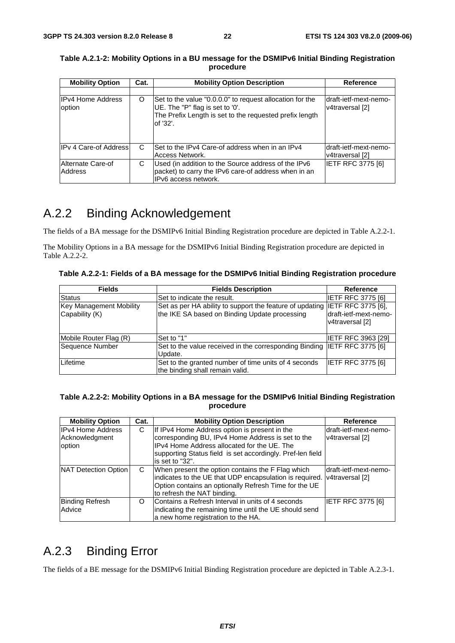| <b>Mobility Option</b>             | Cat. | <b>Mobility Option Description</b>                                                                                                                                 | <b>Reference</b>                         |
|------------------------------------|------|--------------------------------------------------------------------------------------------------------------------------------------------------------------------|------------------------------------------|
| <b>IPv4 Home Address</b><br>option | O    | Set to the value "0.0.0.0" to request allocation for the<br>UE. The "P" flag is set to '0'.<br>The Prefix Length is set to the requested prefix length<br>of '32'. | draft-ietf-mext-nemo-<br>v4traversal [2] |
| IPv 4 Care-of Address              | C    | Set to the IPv4 Care-of address when in an IPv4<br>Access Network.                                                                                                 | draft-ietf-mext-nemo-<br>v4traversal [2] |
| Alternate Care-of<br>Address       | С    | Used (in addition to the Source address of the IPv6<br>packet) to carry the IPv6 care-of address when in an<br>IPv6 access network.                                | <b>IETF RFC 3775 [6]</b>                 |

**Table A.2.1-2: Mobility Options in a BU message for the DSMIPv6 Initial Binding Registration procedure** 

### A.2.2 Binding Acknowledgement

The fields of a BA message for the DSMIPv6 Initial Binding Registration procedure are depicted in Table A.2.2-1.

The Mobility Options in a BA message for the DSMIPv6 Initial Binding Registration procedure are depicted in Table A.2.2-2.

**Table A.2.2-1: Fields of a BA message for the DSMIPv6 Initial Binding Registration procedure** 

| <b>Fields</b>                                    | <b>Fields Description</b>                                                                                                    | <b>Reference</b>                         |
|--------------------------------------------------|------------------------------------------------------------------------------------------------------------------------------|------------------------------------------|
| Status                                           | Set to indicate the result.                                                                                                  | IETF RFC 3775 [6]                        |
| <b>Key Management Mobility</b><br>Capability (K) | Set as per HA ability to support the feature of updating IETF RFC 3775 [6],<br>the IKE SA based on Binding Update processing | draft-ietf-mext-nemo-<br>v4traversal [2] |
| Mobile Router Flag (R)                           | Set to "1"                                                                                                                   | <b>IETF RFC 3963 [29]</b>                |
| Sequence Number                                  | Set to the value received in the corresponding Binding IETF RFC 3775 [6]<br>Update.                                          |                                          |
| Lifetime                                         | Set to the granted number of time units of 4 seconds<br>the binding shall remain valid.                                      | <b>IETF RFC 3775 [6]</b>                 |

#### **Table A.2.2-2: Mobility Options in a BA message for the DSMIPv6 Initial Binding Registration procedure**

| <b>Mobility Option</b>                               | Cat.     | <b>Mobility Option Description</b>                                                                                                                                                                                                 | Reference                                 |
|------------------------------------------------------|----------|------------------------------------------------------------------------------------------------------------------------------------------------------------------------------------------------------------------------------------|-------------------------------------------|
| <b>IPv4 Home Address</b><br>Acknowledgment<br>option | C        | If IPv4 Home Address option is present in the<br>corresponding BU, IPv4 Home Address is set to the<br>IPv4 Home Address allocated for the UE. The<br>supporting Status field is set accordingly. Pref-len field<br>is set to "32". | ldraft-ietf-mext-nemo-<br>v4traversal [2] |
| NAT Detection Option                                 | C.       | When present the option contains the F Flag which<br>indicates to the UE that UDP encapsulation is required.<br>Option contains an optionally Refresh Time for the UE<br>to refresh the NAT binding.                               | ldraft-ietf-mext-nemo-<br>v4traversal [2] |
| <b>Binding Refresh</b><br>Advice                     | $\Omega$ | Contains a Refresh Interval in units of 4 seconds<br>indicating the remaining time until the UE should send<br>a new home registration to the HA.                                                                                  | IETF RFC 3775 [6]                         |

### A.2.3 Binding Error

The fields of a BE message for the DSMIPv6 Initial Binding Registration procedure are depicted in Table A.2.3-1.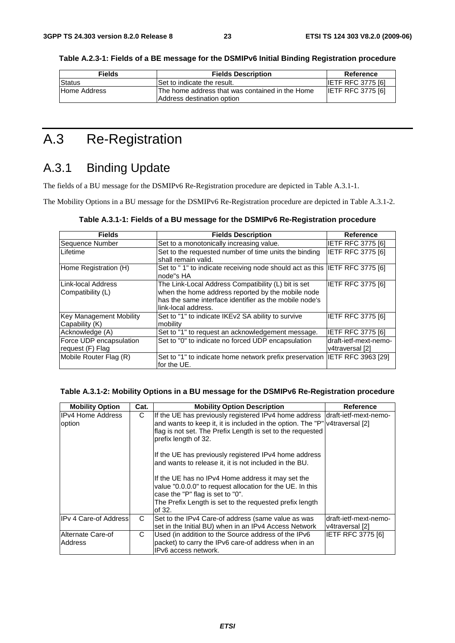| Fields       | <b>Fields Description</b>                       | Reference                |
|--------------|-------------------------------------------------|--------------------------|
| Status       | Set to indicate the result.                     | <b>IETF RFC 3775 [6]</b> |
| Home Address | The home address that was contained in the Home | <b>IETF RFC 3775 [6]</b> |

Address destination option

**Table A.2.3-1: Fields of a BE message for the DSMIPv6 Initial Binding Registration procedure** 

### A.3 Re-Registration

### A.3.1 Binding Update

The fields of a BU message for the DSMIPv6 Re-Registration procedure are depicted in Table A.3.1-1.

The Mobility Options in a BU message for the DSMIPv6 Re-Registration procedure are depicted in Table A.3.1-2.

| <b>Fields</b>                               | <b>Fields Description</b>                                                                                                                                                                  | Reference                                |
|---------------------------------------------|--------------------------------------------------------------------------------------------------------------------------------------------------------------------------------------------|------------------------------------------|
| Sequence Number                             | Set to a monotonically increasing value.                                                                                                                                                   | <b>IETF RFC 3775 [6]</b>                 |
| Lifetime                                    | Set to the requested number of time units the binding<br>shall remain valid.                                                                                                               | <b>IETF RFC 3775 [6]</b>                 |
| Home Registration (H)                       | Set to "1" to indicate receiving node should act as this IETF RFC 3775 [6]<br>node"s HA                                                                                                    |                                          |
| Link-local Address<br>Compatibility (L)     | The Link-Local Address Compatibility (L) bit is set<br>when the home address reported by the mobile node<br>has the same interface identifier as the mobile node's<br>llink-local address. | IETF RFC 3775 [6]                        |
| Key Management Mobility<br>Capability (K)   | Set to "1" to indicate IKEv2 SA ability to survive<br>mobility                                                                                                                             | <b>IETF RFC 3775 [6]</b>                 |
| Acknowledge (A)                             | Set to "1" to request an acknowledgement message.                                                                                                                                          | <b>IETF RFC 3775 [6]</b>                 |
| Force UDP encapsulation<br>request (F) Flag | Set to "0" to indicate no forced UDP encapsulation                                                                                                                                         | draft-ietf-mext-nemo-<br>v4traversal [2] |
| Mobile Router Flag (R)                      | Set to "1" to indicate home network prefix preservation IETF RFC 3963 [29]<br>for the UE.                                                                                                  |                                          |

#### **Table A.3.1-2: Mobility Options in a BU message for the DSMIPv6 Re-Registration procedure**

| <b>Mobility Option</b>             | Cat. | <b>Mobility Option Description</b>                                                                                                                                                                                                                                                                                                                                                                                                                                                                                                                                                             | Reference                                |
|------------------------------------|------|------------------------------------------------------------------------------------------------------------------------------------------------------------------------------------------------------------------------------------------------------------------------------------------------------------------------------------------------------------------------------------------------------------------------------------------------------------------------------------------------------------------------------------------------------------------------------------------------|------------------------------------------|
| <b>IPv4 Home Address</b><br>option | C    | If the UE has previously registered IPv4 home address draft-ietf-mext-nemo-<br>and wants to keep it, it is included in the option. The "P" v4traversal [2]<br>flag is not set. The Prefix Length is set to the requested<br>prefix length of 32.<br>If the UE has previously registered IPv4 home address<br>and wants to release it, it is not included in the BU.<br>If the UE has no IPv4 Home address it may set the<br>value "0.0.0.0" to request allocation for the UE. In this<br>case the "P" flag is set to "0".<br>The Prefix Length is set to the requested prefix length<br>of 32. |                                          |
| <b>IPv 4 Care-of Addressl</b>      | C    | Set to the IPv4 Care-of address (same value as was<br>set in the Initial BU) when in an IPv4 Access Network                                                                                                                                                                                                                                                                                                                                                                                                                                                                                    | draft-ietf-mext-nemo-<br>v4traversal [2] |
| Alternate Care-of<br>Address       | C    | Used (in addition to the Source address of the IPv6<br>packet) to carry the IPv6 care-of address when in an<br>IPv6 access network.                                                                                                                                                                                                                                                                                                                                                                                                                                                            | <b>IETF RFC 3775 [6]</b>                 |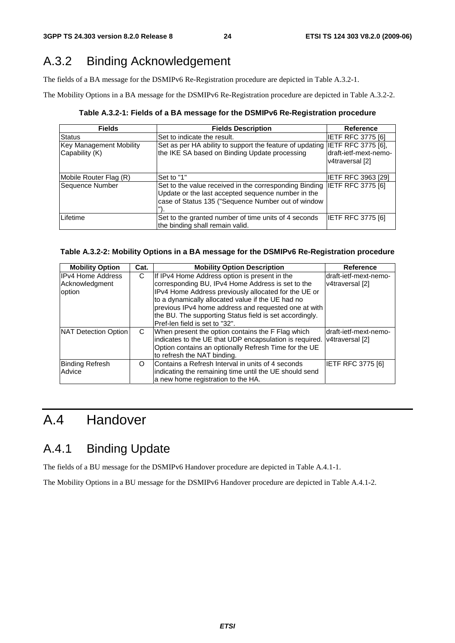### A.3.2 Binding Acknowledgement

The fields of a BA message for the DSMIPv6 Re-Registration procedure are depicted in Table A.3.2-1.

The Mobility Options in a BA message for the DSMIPv6 Re-Registration procedure are depicted in Table A.3.2-2.

**Table A.3.2-1: Fields of a BA message for the DSMIPv6 Re-Registration procedure** 

| <b>Fields</b>                                    | <b>Fields Description</b>                                                                                                                                          | Reference                                                      |
|--------------------------------------------------|--------------------------------------------------------------------------------------------------------------------------------------------------------------------|----------------------------------------------------------------|
| <b>Status</b>                                    | Set to indicate the result.                                                                                                                                        | <b>IETF RFC 3775 [6]</b>                                       |
| <b>Key Management Mobility</b><br>Capability (K) | Set as per HA ability to support the feature of updating<br>the IKE SA based on Binding Update processing                                                          | IETF RFC 3775 [6],<br>draft-ietf-mext-nemo-<br>v4traversal [2] |
| Mobile Router Flag (R)                           | Set to "1"                                                                                                                                                         | IETF RFC 3963 [29]                                             |
| Sequence Number                                  | Set to the value received in the corresponding Binding<br>Update or the last accepted sequence number in the<br>case of Status 135 ("Sequence Number out of window | IETF RFC 3775 [6]                                              |
| Lifetime                                         | Set to the granted number of time units of 4 seconds<br>the binding shall remain valid.                                                                            | <b>IETF RFC 3775 [6]</b>                                       |

|  |  |  |  | Table A.3.2-2: Mobility Options in a BA message for the DSMIPv6 Re-Registration procedure |
|--|--|--|--|-------------------------------------------------------------------------------------------|
|--|--|--|--|-------------------------------------------------------------------------------------------|

| <b>Mobility Option</b>                               | Cat.     | <b>Mobility Option Description</b>                                                                                                                                                                                                                                                                                                                                   | <b>Reference</b>                         |
|------------------------------------------------------|----------|----------------------------------------------------------------------------------------------------------------------------------------------------------------------------------------------------------------------------------------------------------------------------------------------------------------------------------------------------------------------|------------------------------------------|
| <b>IPv4 Home Address</b><br>Acknowledgment<br>option | С        | If IPv4 Home Address option is present in the<br>corresponding BU, IPv4 Home Address is set to the<br>IPv4 Home Address previously allocated for the UE or<br>to a dynamically allocated value if the UE had no<br>previous IPv4 home address and requested one at with<br>the BU. The supporting Status field is set accordingly.<br>Pref-len field is set to "32". | draft-ietf-mext-nemo-<br>v4traversal [2] |
| NAT Detection Option                                 | C        | When present the option contains the F Flag which<br>indicates to the UE that UDP encapsulation is required.<br>Option contains an optionally Refresh Time for the UE<br>to refresh the NAT binding.                                                                                                                                                                 | draft-ietf-mext-nemo-<br>v4traversal [2] |
| <b>Binding Refresh</b><br>Advice                     | $\Omega$ | Contains a Refresh Interval in units of 4 seconds<br>indicating the remaining time until the UE should send<br>a new home registration to the HA.                                                                                                                                                                                                                    | IETF RFC 3775 [6]                        |

### A.4 Handover

### A.4.1 Binding Update

The fields of a BU message for the DSMIPv6 Handover procedure are depicted in Table A.4.1-1.

The Mobility Options in a BU message for the DSMIPv6 Handover procedure are depicted in Table A.4.1-2.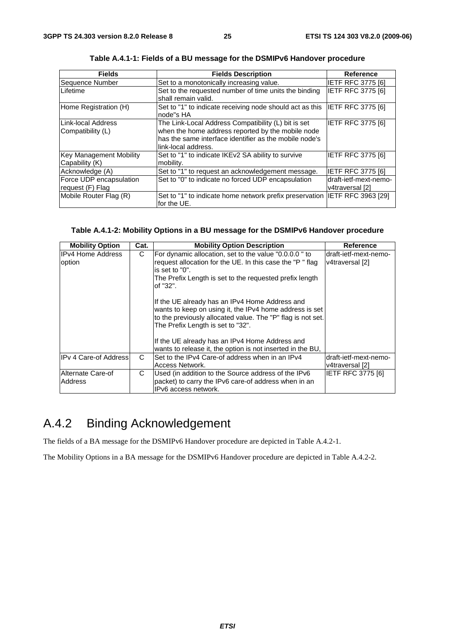| <b>Fields</b>                                    | <b>Fields Description</b>                                                                                                                                                                 | Reference                                |
|--------------------------------------------------|-------------------------------------------------------------------------------------------------------------------------------------------------------------------------------------------|------------------------------------------|
| Sequence Number                                  | Set to a monotonically increasing value.                                                                                                                                                  | IETF RFC 3775 [6]                        |
| Lifetime                                         | Set to the requested number of time units the binding<br>shall remain valid.                                                                                                              | <b>IETF RFC 3775 [6]</b>                 |
| Home Registration (H)                            | Set to "1" to indicate receiving node should act as this IETF RFC 3775 [6]<br>node"s HA                                                                                                   |                                          |
| Link-local Address<br>Compatibility (L)          | The Link-Local Address Compatibility (L) bit is set<br>when the home address reported by the mobile node<br>has the same interface identifier as the mobile node's<br>link-local address. | IETF RFC 3775 [6]                        |
| <b>Key Management Mobility</b><br>Capability (K) | Set to "1" to indicate IKEv2 SA ability to survive<br>mobility.                                                                                                                           | IETF RFC 3775 [6]                        |
| Acknowledge (A)                                  | Set to "1" to request an acknowledgement message.                                                                                                                                         | IETF RFC 3775 [6]                        |
| Force UDP encapsulation<br>request (F) Flag      | Set to "0" to indicate no forced UDP encapsulation                                                                                                                                        | draft-ietf-mext-nemo-<br>v4traversal [2] |
| Mobile Router Flag (R)                           | Set to "1" to indicate home network prefix preservation IIETF RFC 3963 [29]<br>for the UE.                                                                                                |                                          |

**Table A.4.1-1: Fields of a BU message for the DSMIPv6 Handover procedure** 

#### **Table A.4.1-2: Mobility Options in a BU message for the DSMIPv6 Handover procedure**

| <b>Mobility Option</b>              | Cat. | <b>Mobility Option Description</b>                                                                                                                                                                            | <b>Reference</b>                         |
|-------------------------------------|------|---------------------------------------------------------------------------------------------------------------------------------------------------------------------------------------------------------------|------------------------------------------|
| IIPv4 Home Address<br>option        | C    | For dynamic allocation, set to the value "0.0.0.0" to<br>request allocation for the UE. In this case the "P" flag<br>is set to "0".<br>The Prefix Length is set to the requested prefix length<br>of "32".    | draft-ietf-mext-nemo-<br>v4traversal [2] |
|                                     |      | If the UE already has an IPv4 Home Address and<br>wants to keep on using it, the IPv4 home address is set<br>to the previously allocated value. The "P" flag is not set.<br>The Prefix Length is set to "32". |                                          |
|                                     |      | If the UE already has an IPv4 Home Address and<br>wants to release it, the option is not inserted in the BU,                                                                                                  |                                          |
| IPv 4 Care-of Address               | C    | Set to the IPv4 Care-of address when in an IPv4<br>Access Network.                                                                                                                                            | draft-ietf-mext-nemo-<br>v4traversal [2] |
| Alternate Care-of<br><b>Address</b> | C    | Used (in addition to the Source address of the IPv6<br>packet) to carry the IPv6 care-of address when in an<br>IPv6 access network.                                                                           | IETF RFC 3775 [6]                        |

### A.4.2 Binding Acknowledgement

The fields of a BA message for the DSMIPv6 Handover procedure are depicted in Table A.4.2-1.

The Mobility Options in a BA message for the DSMIPv6 Handover procedure are depicted in Table A.4.2-2.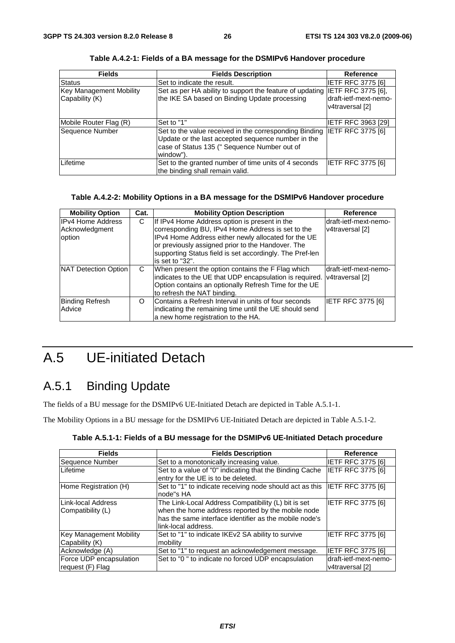| <b>Fields</b>                             | <b>Fields Description</b>                                                                                                                                                 | <b>Reference</b>                                                      |
|-------------------------------------------|---------------------------------------------------------------------------------------------------------------------------------------------------------------------------|-----------------------------------------------------------------------|
| Status                                    | Set to indicate the result.                                                                                                                                               | IETF RFC 3775 [6]                                                     |
| Key Management Mobility<br>Capability (K) | Set as per HA ability to support the feature of updating<br>the IKE SA based on Binding Update processing                                                                 | <b>IETF RFC 3775 [6],</b><br>draft-ietf-mext-nemo-<br>v4traversal [2] |
| Mobile Router Flag (R)                    | Set to "1"                                                                                                                                                                | <b>IETF RFC 3963 [29]</b>                                             |
| Sequence Number                           | Set to the value received in the corresponding Binding<br>Update or the last accepted sequence number in the<br>case of Status 135 (" Sequence Number out of<br>window"). | <b>IETF RFC 3775 [6]</b>                                              |
| Lifetime                                  | Set to the granted number of time units of 4 seconds<br>the binding shall remain valid.                                                                                   | IETF RFC 3775 [6]                                                     |

**Table A.4.2-1: Fields of a BA message for the DSMIPv6 Handover procedure** 

#### **Table A.4.2-2: Mobility Options in a BA message for the DSMIPv6 Handover procedure**

| <b>Mobility Option</b>                               | Cat. | <b>Mobility Option Description</b>                                                                                                                                                                                                                                                            | <b>Reference</b>                         |
|------------------------------------------------------|------|-----------------------------------------------------------------------------------------------------------------------------------------------------------------------------------------------------------------------------------------------------------------------------------------------|------------------------------------------|
| <b>IPv4 Home Address</b><br>Acknowledgment<br>option | C    | If IPv4 Home Address option is present in the<br>corresponding BU, IPv4 Home Address is set to the<br>IPv4 Home Address either newly allocated for the UE<br>or previously assigned prior to the Handover. The<br>supporting Status field is set accordingly. The Pref-len<br>is set to "32". | draft-ietf-mext-nemo-<br>v4traversal [2] |
| NAT Detection Option                                 | C.   | When present the option contains the F Flag which<br>indicates to the UE that UDP encapsulation is required.<br>Option contains an optionally Refresh Time for the UE<br>to refresh the NAT binding.                                                                                          | draft-ietf-mext-nemo-<br>v4traversal [2] |
| Binding Refresh<br>Advice                            | O    | Contains a Refresh Interval in units of four seconds<br>indicating the remaining time until the UE should send<br>a new home registration to the HA.                                                                                                                                          | IETF RFC 3775 [6]                        |

## A.5 UE-initiated Detach

### A.5.1 Binding Update

The fields of a BU message for the DSMIPv6 UE-Initiated Detach are depicted in Table A.5.1-1.

The Mobility Options in a BU message for the DSMIPv6 UE-Initiated Detach are depicted in Table A.5.1-2.

| Table A.5.1-1: Fields of a BU message for the DSMIPv6 UE-Initiated Detach procedure |  |
|-------------------------------------------------------------------------------------|--|
|-------------------------------------------------------------------------------------|--|

| <b>Fields</b>                                    | <b>Fields Description</b>                                                                                                                                                                 | <b>Reference</b>                          |
|--------------------------------------------------|-------------------------------------------------------------------------------------------------------------------------------------------------------------------------------------------|-------------------------------------------|
| Sequence Number                                  | Set to a monotonically increasing value.                                                                                                                                                  | IETF RFC 3775 [6]                         |
| Lifetime                                         | Set to a value of "0" indicating that the Binding Cache<br>entry for the UE is to be deleted.                                                                                             | IETF RFC 3775 [6]                         |
| Home Registration (H)                            | Set to "1" to indicate receiving node should act as this IETF RFC 3775 [6]<br>node"s HA                                                                                                   |                                           |
| Link-local Address<br>Compatibility (L)          | The Link-Local Address Compatibility (L) bit is set<br>when the home address reported by the mobile node<br>has the same interface identifier as the mobile node's<br>link-local address. | <b>IETF RFC 3775 [6]</b>                  |
| <b>Key Management Mobility</b><br>Capability (K) | Set to "1" to indicate IKEv2 SA ability to survive<br>mobility                                                                                                                            | IETF RFC 3775 [6]                         |
| Acknowledge (A)                                  | Set to "1" to request an acknowledgement message.                                                                                                                                         | IETF RFC 3775 [6]                         |
| Force UDP encapsulation<br>request (F) Flag      | Set to "0" to indicate no forced UDP encapsulation                                                                                                                                        | draft-ietf-mext-nemo-<br>lv4traversal [2] |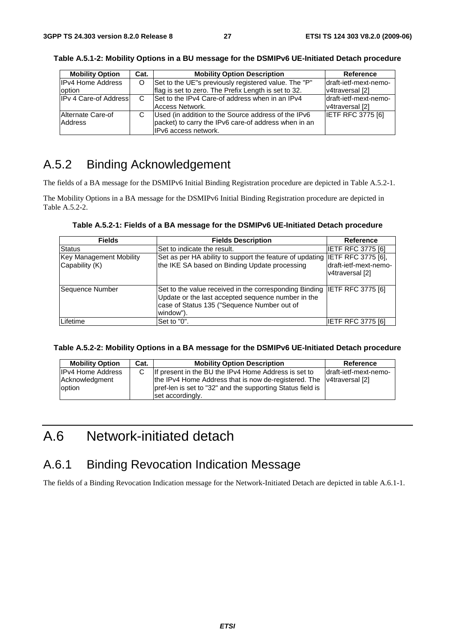| <b>Mobility Option</b>             | Cat. | <b>Mobility Option Description</b>                                                                                                  | Reference                                |
|------------------------------------|------|-------------------------------------------------------------------------------------------------------------------------------------|------------------------------------------|
| <b>IPv4 Home Address</b><br>option | O    | Set to the UE"s previously registered value. The "P"<br>flag is set to zero. The Prefix Length is set to 32.                        | draft-ietf-mext-nemo-<br>v4traversal [2] |
| <b>IPv 4 Care-of Address</b>       | C    | Set to the IPv4 Care-of address when in an IPv4<br>Access Network.                                                                  | draft-ietf-mext-nemo-<br>v4traversal [2] |
| Alternate Care-of<br>Address       | С    | Used (in addition to the Source address of the IPv6<br>packet) to carry the IPv6 care-of address when in an<br>IPv6 access network. | <b>IETF RFC 3775 [6]</b>                 |

**Table A.5.1-2: Mobility Options in a BU message for the DSMIPv6 UE-Initiated Detach procedure** 

### A.5.2 Binding Acknowledgement

The fields of a BA message for the DSMIPv6 Initial Binding Registration procedure are depicted in Table A.5.2-1.

The Mobility Options in a BA message for the DSMIPv6 Initial Binding Registration procedure are depicted in Table A.5.2-2.

| Table A.5.2-1: Fields of a BA message for the DSMIPv6 UE-Initiated Detach procedure |  |
|-------------------------------------------------------------------------------------|--|
|-------------------------------------------------------------------------------------|--|

| <b>Fields</b>                                    | <b>Fields Description</b>                                                                                                                                                                  | <b>Reference</b>                          |
|--------------------------------------------------|--------------------------------------------------------------------------------------------------------------------------------------------------------------------------------------------|-------------------------------------------|
| <b>Status</b>                                    | Set to indicate the result.                                                                                                                                                                | IETF RFC 3775 [6]                         |
| <b>Key Management Mobility</b><br>Capability (K) | Set as per HA ability to support the feature of updating IIETF RFC 3775 [6],<br>the IKE SA based on Binding Update processing                                                              | Idraft-ietf-mext-nemo-<br>v4traversal [2] |
| Sequence Number                                  | Set to the value received in the corresponding Binding IETF RFC 3775 [6]<br>Update or the last accepted sequence number in the<br>case of Status 135 ("Sequence Number out of<br>window"). |                                           |
| Lifetime                                         | Set to "0".                                                                                                                                                                                | <b>IETF RFC 3775 [6]</b>                  |

| Table A.5.2-2: Mobility Options in a BA message for the DSMIPv6 UE-Initiated Detach procedure |  |
|-----------------------------------------------------------------------------------------------|--|
|-----------------------------------------------------------------------------------------------|--|

| <b>Mobility Option</b>                               | Cat. | <b>Mobility Option Description</b>                                                                                                                                                                             | Reference              |
|------------------------------------------------------|------|----------------------------------------------------------------------------------------------------------------------------------------------------------------------------------------------------------------|------------------------|
| <b>IPv4 Home Address</b><br>Acknowledgment<br>option |      | If present in the BU the IPv4 Home Address is set to<br>the IPv4 Home Address that is now de-registered. The v4traversal [2]<br>pref-len is set to "32" and the supporting Status field is<br>set accordingly. | ldraft-ietf-mext-nemo- |

### A.6 Network-initiated detach

### A.6.1 Binding Revocation Indication Message

The fields of a Binding Revocation Indication message for the Network-Initiated Detach are depicted in table A.6.1-1.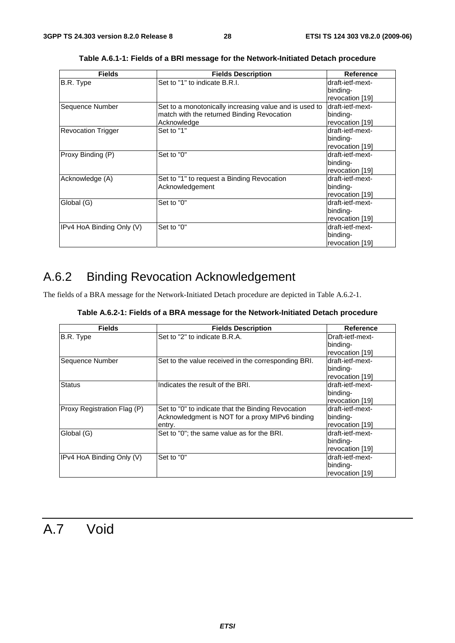| <b>Fields</b>             | <b>Fields Description</b>                              | Reference        |
|---------------------------|--------------------------------------------------------|------------------|
| B.R. Type                 | Set to "1" to indicate B.R.I.                          | draft-ietf-mext- |
|                           |                                                        | binding-         |
|                           |                                                        | revocation [19]  |
| Sequence Number           | Set to a monotonically increasing value and is used to | draft-ietf-mext- |
|                           | match with the returned Binding Revocation             | binding-         |
|                           | Acknowledge                                            | revocation [19]  |
| <b>Revocation Trigger</b> | Set to "1"                                             | draft-ietf-mext- |
|                           |                                                        | binding-         |
|                           |                                                        | revocation [19]  |
| Proxy Binding (P)         | Set to "0"                                             | draft-ietf-mext- |
|                           |                                                        | binding-         |
|                           |                                                        | revocation [19]  |
| Acknowledge (A)           | Set to "1" to request a Binding Revocation             | draft-ietf-mext- |
|                           | Acknowledgement                                        | binding-         |
|                           |                                                        | revocation [19]  |
| Global (G)                | Set to "0"                                             | draft-ietf-mext- |
|                           |                                                        | binding-         |
|                           |                                                        | revocation [19]  |
| IPv4 HoA Binding Only (V) | Set to "0"                                             | draft-ietf-mext- |
|                           |                                                        | binding-         |
|                           |                                                        | revocation [19]  |

**Table A.6.1-1: Fields of a BRI message for the Network-Initiated Detach procedure** 

### A.6.2 Binding Revocation Acknowledgement

The fields of a BRA message for the Network-Initiated Detach procedure are depicted in Table A.6.2-1.

|  |  | Table A.6.2-1: Fields of a BRA message for the Network-Initiated Detach procedure |
|--|--|-----------------------------------------------------------------------------------|
|--|--|-----------------------------------------------------------------------------------|

| <b>Fields</b>               | <b>Fields Description</b>                                                                                       | Reference                                       |
|-----------------------------|-----------------------------------------------------------------------------------------------------------------|-------------------------------------------------|
| B.R. Type                   | Set to "2" to indicate B.R.A.                                                                                   | Draft-ietf-mext-<br>binding-<br>revocation [19] |
| Sequence Number             | Set to the value received in the corresponding BRI.                                                             | draft-ietf-mext-<br>binding-<br>revocation [19] |
| <b>Status</b>               | Indicates the result of the BRI.                                                                                | draft-ietf-mext-<br>binding-<br>revocation [19] |
| Proxy Registration Flag (P) | Set to "0" to indicate that the Binding Revocation<br>Acknowledgment is NOT for a proxy MIPv6 binding<br>entry. | draft-ietf-mext-<br>binding-<br>revocation [19] |
| Global (G)                  | Set to "0"; the same value as for the BRI.                                                                      | draft-ietf-mext-<br>binding-<br>revocation [19] |
| IPv4 HoA Binding Only (V)   | Set to "0"                                                                                                      | draft-ietf-mext-<br>binding-<br>revocation [19] |

### A.7 Void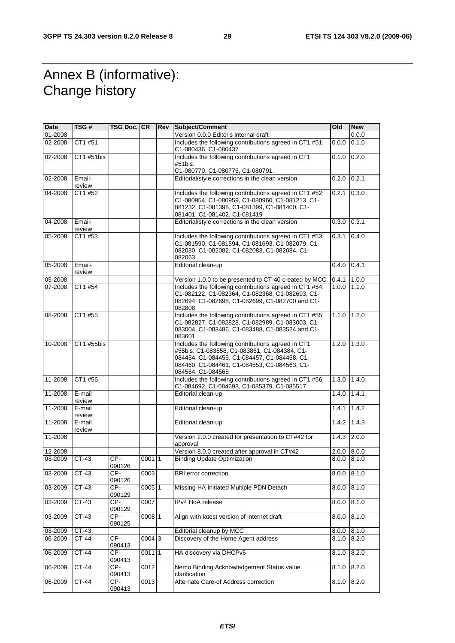### Annex B (informative): Change history

| Date    | TSG#             | TSG Doc. CR   |          | <b>Rev Subject/Comment</b>                                                                                                                                                                                              | Old               | <b>New</b> |
|---------|------------------|---------------|----------|-------------------------------------------------------------------------------------------------------------------------------------------------------------------------------------------------------------------------|-------------------|------------|
| 01-2008 |                  |               |          | Version 0.0.0 Editor's internal draft                                                                                                                                                                                   |                   | 0.0.0      |
| 02-2008 | CT1 #51          |               |          | Includes the following contributions agreed in CT1 #51:<br>C1-080436, C1-080437                                                                                                                                         | 0.0.0             | 0.1.0      |
| 02-2008 | CT1 #51bis       |               |          | Includes the following contributions agreed in CT1<br>#51bis:                                                                                                                                                           | 0.1.0             | 0.2.0      |
|         |                  |               |          | C1-080770, C1-080776, C1-080791.                                                                                                                                                                                        |                   |            |
| 02-2008 | Email-<br>review |               |          | Editorial/style corrections in the clean version                                                                                                                                                                        | 0.2.0             | 0.2.1      |
| 04-2008 | CT1 #52          |               |          | Includes the following contributions agreed in CT1 #52:<br>C1-080954, C1-080959, C1-080960, C1-081213, C1-<br>081232, C1-081398, C1-081399, C1-081400, C1-<br>081401, C1-081402, C1-081419                              | 0.2.1             | 0.3.0      |
| 04-2008 | Email-<br>review |               |          | Editorial/style corrections in the clean version                                                                                                                                                                        | 0.3.0             | 0.3.1      |
| 05-2008 | CT1 #53          |               |          | Includes the following contributions agreed in CT1 #53:<br>C1-081590, C1-081594, C1-081693, C1-082079, C1-<br>082080, C1-082082, C1-082083, C1-082084, C1-<br>082063                                                    | 0.3.1             | 0.4.0      |
| 05-2008 | Email-<br>review |               |          | Editorial clean-up                                                                                                                                                                                                      | $0.4.0$ 0.4.1     |            |
| 05-2008 |                  |               |          | Version 1.0.0 to be presented to CT-40 created by MCC                                                                                                                                                                   | 0.4.1             | 1.0.0      |
| 07-2008 | CT1 #54          |               |          | Includes the following contributions agreed in CT1 #54:<br>C1-082122, C1-082364, C1-082368, C1-082693, C1-<br>082694, C1-082698, C1-082699, C1-082700 and C1-<br>082808                                                 | 1.0.0             | 1.1.0      |
| 08-2008 | CT1 #55          |               |          | Includes the following contributions agreed in CT1 #55:<br>C1-082827, C1-082828, C1-082989, C1-083003, C1-<br>083004, C1-083486, C1-083488, C1-083524 and C1-<br>083601                                                 | $1.1.0$   $1.2.0$ |            |
| 10-2008 | CT1 #55bis       |               |          | Includes the following contributions agreed in CT1<br>#55bis: C1-083858, C1-083861, C1-084384, C1-<br>084454, C1-084455, C1-084457, C1-084458, C1-<br>084460, C1-084461, C1-084553, C1-084563, C1-<br>084564, C1-084565 | 1.2.0             | 1.3.0      |
| 11-2008 | CT1 #56          |               |          | Includes the following contributions agreed in CT1 #56:<br>C1-084692, C1-084693, C1-085379, C1-085517                                                                                                                   | 1.3.0             | 1.4.0      |
| 11-2008 | E-mail<br>review |               |          | Editorial clean-up                                                                                                                                                                                                      | 1.4.0             | 1.4.1      |
| 11-2008 | E-mail<br>review |               |          | Editorial clean-up                                                                                                                                                                                                      | 1.4.1             | 1.4.2      |
| 11-2008 | E-mail<br>review |               |          | Editorial clean-up                                                                                                                                                                                                      | 1.4.2             | 1.4.3      |
| 11-2008 |                  |               |          | Version 2.0.0 created for presentation to CT#42 for<br>approval                                                                                                                                                         | 1.4.3             | 2.0.0      |
| 12-2008 |                  |               |          | Version 8.0.0 created after approval in CT#42                                                                                                                                                                           | 2.0.0             | 8.0.0      |
| 03-2009 | CT-43            | CP-<br>090126 | 00011    | <b>Binding Update Optimization</b>                                                                                                                                                                                      | 8.0.0             | 8.1.0      |
| 03-2009 | $CT-43$          | CP-<br>090126 | 0003     | <b>BRI</b> error correction                                                                                                                                                                                             | 8.0.0             | 8.1.0      |
| 03-2009 | $CT-43$          | CP-<br>090129 | 0005 1   | Missing HA Initiated Multiple PDN Detach                                                                                                                                                                                | 8.0.0             | 8.1.0      |
| 03-2009 | $CT-43$          | CP-<br>090129 | 0007     | IPv4 HoA release                                                                                                                                                                                                        | 8.0.0             | 8.1.0      |
| 03-2009 | CT-43            | CP-<br>090125 | 0008 1   | Align with latest version of internet draft                                                                                                                                                                             | 8.0.0             | 8.1.0      |
| 03-2009 | CT-43            |               |          | Editorial cleanup by MCC                                                                                                                                                                                                | 8.0.0             | 8.1.0      |
| 06-2009 | CT-44            | CP-<br>090413 | 00043    | Discovery of the Home Agent address                                                                                                                                                                                     | 8.1.0             | 8.2.0      |
| 06-2009 | $CT-44$          | CP-<br>090413 | $0011$ 1 | HA discovery via DHCPv6                                                                                                                                                                                                 | 8.1.0             | 8.2.0      |
| 06-2009 | $CT-44$          | CP-<br>090413 | 0012     | Nemo Binding Acknowledgement Status value<br>clarification                                                                                                                                                              | 8.1.0             | 8.2.0      |
| 06-2009 | CT-44            | CP-<br>090413 | 0013     | Alternate Care-of Address correction                                                                                                                                                                                    | 8.1.0             | 8.2.0      |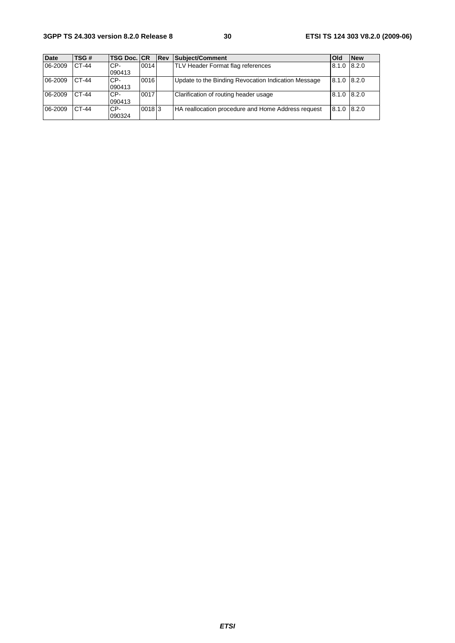#### **3GPP TS 24.303 version 8.2.0 Release 8 30 ETSI TS 124 303 V8.2.0 (2009-06)**

| <b>Date</b> | TSG#  | <b>TSG Doc. CR</b> |       | <b>IRev</b> | Subject/Comment                                     | Old             | <b>New</b> |
|-------------|-------|--------------------|-------|-------------|-----------------------------------------------------|-----------------|------------|
| 06-2009     | CT-44 | CP-<br>090413      | 0014  |             | TLV Header Format flag references                   | 8.1.0           | 8.2.0      |
| 06-2009     | CT-44 | CP-<br>090413      | 0016  |             | Update to the Binding Revocation Indication Message | $8.1.0$ $8.2.0$ |            |
| 06-2009     | CT-44 | CP-<br>090413      | 0017  |             | Clarification of routing header usage               | 8.1.0 8.2.0     |            |
| 06-2009     | CT-44 | CP-<br>090324      | 00183 |             | HA reallocation procedure and Home Address request  | 8.1.0 8.2.0     |            |